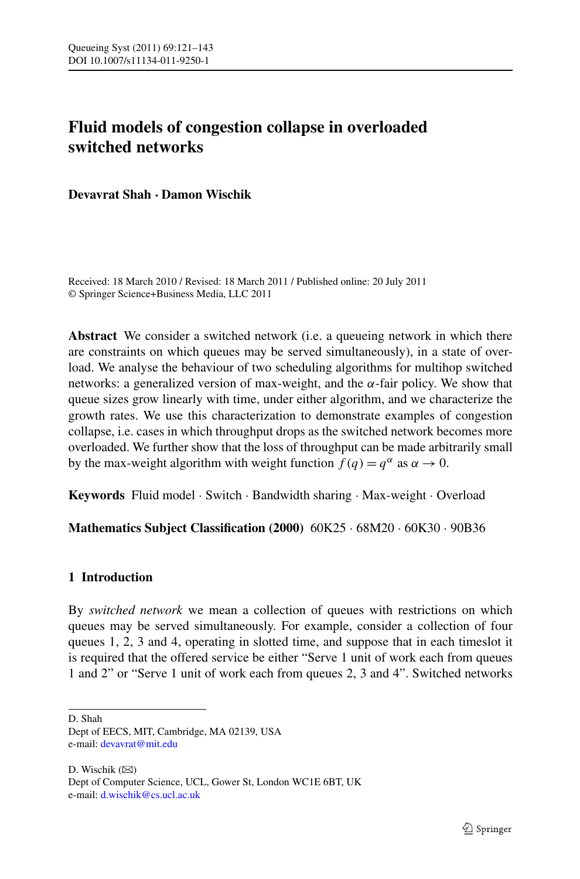# **Fluid models of congestion collapse in overloaded switched networks**

**Devavrat Shah · Damon Wischik**

Received: 18 March 2010 / Revised: 18 March 2011 / Published online: 20 July 2011 © Springer Science+Business Media, LLC 2011

**Abstract** We consider a switched network (i.e. a queueing network in which there are constraints on which queues may be served simultaneously), in a state of overload. We analyse the behaviour of two scheduling algorithms for multihop switched networks: a generalized version of max-weight, and the *α*-fair policy. We show that queue sizes grow linearly with time, under either algorithm, and we characterize the growth rates. We use this characterization to demonstrate examples of congestion collapse, i.e. cases in which throughput drops as the switched network becomes more overloaded. We further show that the loss of throughput can be made arbitrarily small by the max-weight algorithm with weight function  $f(q) = q^{\alpha}$  as  $\alpha \to 0$ .

**Keywords** Fluid model · Switch · Bandwidth sharing · Max-weight · Overload

**Mathematics Subject Classification (2000)** 60K25 · 68M20 · 60K30 · 90B36

# **1 Introduction**

By *switched network* we mean a collection of queues with restrictions on which queues may be served simultaneously. For example, consider a collection of four queues 1, 2, 3 and 4, operating in slotted time, and suppose that in each timeslot it is required that the offered service be either "Serve 1 unit of work each from queues 1 and 2" or "Serve 1 unit of work each from queues 2, 3 and 4". Switched networks

D. Shah

D. Wischik  $(\boxtimes)$ Dept of Computer Science, UCL, Gower St, London WC1E 6BT, UK e-mail: [d.wischik@cs.ucl.ac.uk](mailto:d.wischik@cs.ucl.ac.uk)

Dept of EECS, MIT, Cambridge, MA 02139, USA e-mail: [devavrat@mit.edu](mailto:devavrat@mit.edu)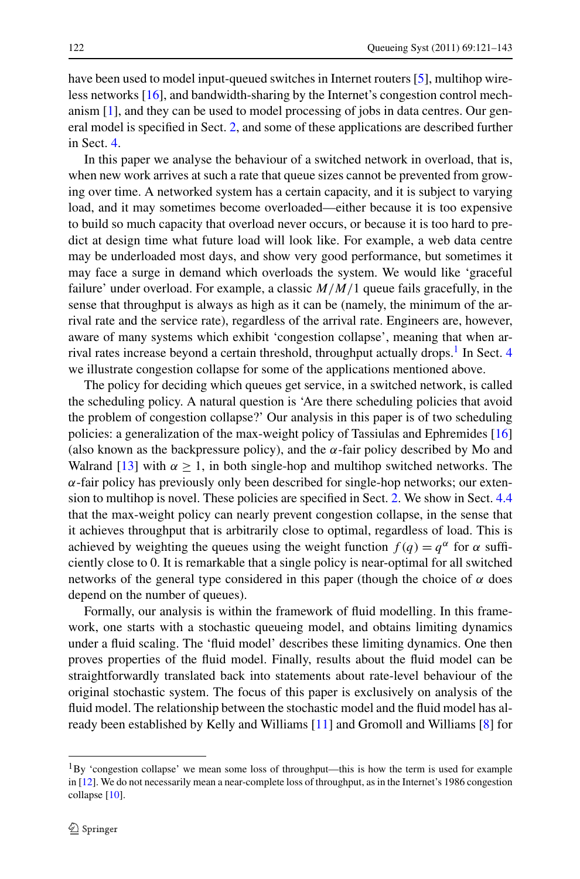have been used to model input-queued switches in Internet routers [[5\]](#page-22-0), multihop wireless networks [[16\]](#page-22-1), and bandwidth-sharing by the Internet's congestion control mechanism [\[1](#page-22-2)], and they can be used to model processing of jobs in data centres. Our general model is specified in Sect. [2](#page-3-0), and some of these applications are described further in Sect. [4](#page-7-0).

In this paper we analyse the behaviour of a switched network in overload, that is, when new work arrives at such a rate that queue sizes cannot be prevented from growing over time. A networked system has a certain capacity, and it is subject to varying load, and it may sometimes become overloaded—either because it is too expensive to build so much capacity that overload never occurs, or because it is too hard to predict at design time what future load will look like. For example, a web data centre may be underloaded most days, and show very good performance, but sometimes it may face a surge in demand which overloads the system. We would like 'graceful failure' under overload. For example, a classic *M/M/*1 queue fails gracefully, in the sense that throughput is always as high as it can be (namely, the minimum of the arrival rate and the service rate), regardless of the arrival rate. Engineers are, however, aware of many systems which exhibit 'congestion collapse', meaning that when ar-rival rates increase beyond a certain threshold, throughput actually drops.<sup>[1](#page-1-0)</sup> In Sect. [4](#page-7-0) we illustrate congestion collapse for some of the applications mentioned above.

The policy for deciding which queues get service, in a switched network, is called the scheduling policy. A natural question is 'Are there scheduling policies that avoid the problem of congestion collapse?' Our analysis in this paper is of two scheduling policies: a generalization of the max-weight policy of Tassiulas and Ephremides [\[16](#page-22-1)] (also known as the backpressure policy), and the  $\alpha$ -fair policy described by Mo and Walrand [[13\]](#page-22-3) with  $\alpha \geq 1$ , in both single-hop and multihop switched networks. The  $\alpha$ -fair policy has previously only been described for single-hop networks; our extension to multihop is novel. These policies are specified in Sect. [2.](#page-3-0) We show in Sect. [4.4](#page-11-0) that the max-weight policy can nearly prevent congestion collapse, in the sense that it achieves throughput that is arbitrarily close to optimal, regardless of load. This is achieved by weighting the queues using the weight function  $f(q) = q^{\alpha}$  for  $\alpha$  sufficiently close to 0. It is remarkable that a single policy is near-optimal for all switched networks of the general type considered in this paper (though the choice of  $\alpha$  does depend on the number of queues).

<span id="page-1-0"></span>Formally, our analysis is within the framework of fluid modelling. In this framework, one starts with a stochastic queueing model, and obtains limiting dynamics under a fluid scaling. The 'fluid model' describes these limiting dynamics. One then proves properties of the fluid model. Finally, results about the fluid model can be straightforwardly translated back into statements about rate-level behaviour of the original stochastic system. The focus of this paper is exclusively on analysis of the fluid model. The relationship between the stochastic model and the fluid model has already been established by Kelly and Williams [\[11](#page-22-4)] and Gromoll and Williams [\[8](#page-22-5)] for

 ${}^{1}$ By 'congestion collapse' we mean some loss of throughput—this is how the term is used for example in [\[12](#page-22-6)]. We do not necessarily mean a near-complete loss of throughput, as in the Internet's 1986 congestion collapse [[10\]](#page-22-7).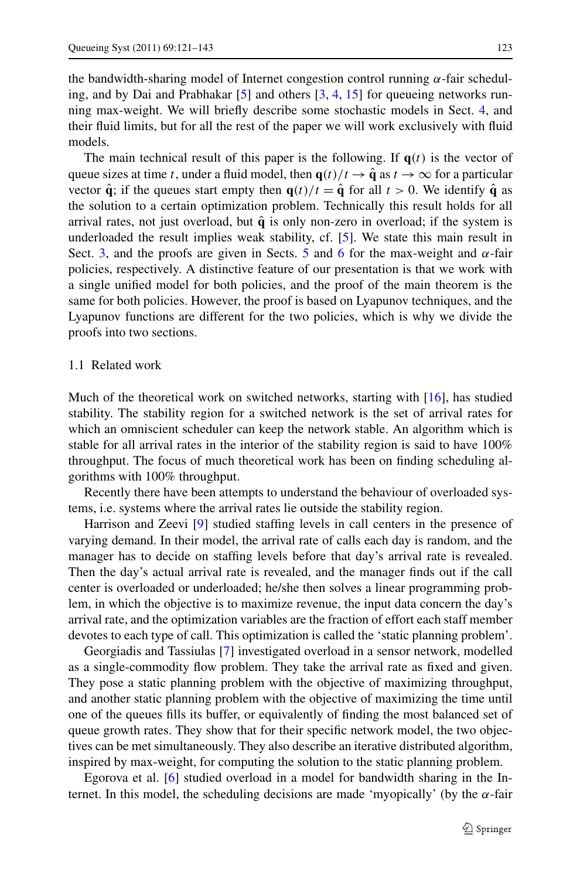the bandwidth-sharing model of Internet congestion control running *α*-fair scheduling, and by Dai and Prabhakar  $[5]$  $[5]$  and others  $[3, 4, 15]$  $[3, 4, 15]$  $[3, 4, 15]$  $[3, 4, 15]$  $[3, 4, 15]$  $[3, 4, 15]$  for queueing networks running max-weight. We will briefly describe some stochastic models in Sect. [4](#page-7-0), and their fluid limits, but for all the rest of the paper we will work exclusively with fluid models.

The main technical result of this paper is the following. If  $q(t)$  is the vector of queue sizes at time *t*, under a fluid model, then  $\mathbf{q}(t)/t \to \hat{\mathbf{q}}$  as  $t \to \infty$  for a particular vector  $\hat{\mathbf{q}}$ ; if the queues start empty then  $\mathbf{q}(t)/t = \hat{\mathbf{q}}$  for all  $t > 0$ . We identify  $\hat{\mathbf{q}}$  as the solution to a certain optimization problem. Technically this result holds for all arrival rates, not just overload, but  $\hat{q}$  is only non-zero in overload; if the system is underloaded the result implies weak stability, cf. [[5\]](#page-22-0). We state this main result in Sect. [3](#page-6-0), and the proofs are given in Sects. [5](#page-13-0) and [6](#page-16-0) for the max-weight and  $\alpha$ -fair policies, respectively. A distinctive feature of our presentation is that we work with a single unified model for both policies, and the proof of the main theorem is the same for both policies. However, the proof is based on Lyapunov techniques, and the Lyapunov functions are different for the two policies, which is why we divide the proofs into two sections.

#### 1.1 Related work

Much of the theoretical work on switched networks, starting with [\[16](#page-22-1)], has studied stability. The stability region for a switched network is the set of arrival rates for which an omniscient scheduler can keep the network stable. An algorithm which is stable for all arrival rates in the interior of the stability region is said to have 100% throughput. The focus of much theoretical work has been on finding scheduling algorithms with 100% throughput.

Recently there have been attempts to understand the behaviour of overloaded systems, i.e. systems where the arrival rates lie outside the stability region.

Harrison and Zeevi [[9\]](#page-22-11) studied staffing levels in call centers in the presence of varying demand. In their model, the arrival rate of calls each day is random, and the manager has to decide on staffing levels before that day's arrival rate is revealed. Then the day's actual arrival rate is revealed, and the manager finds out if the call center is overloaded or underloaded; he/she then solves a linear programming problem, in which the objective is to maximize revenue, the input data concern the day's arrival rate, and the optimization variables are the fraction of effort each staff member devotes to each type of call. This optimization is called the 'static planning problem'.

Georgiadis and Tassiulas [\[7](#page-22-12)] investigated overload in a sensor network, modelled as a single-commodity flow problem. They take the arrival rate as fixed and given. They pose a static planning problem with the objective of maximizing throughput, and another static planning problem with the objective of maximizing the time until one of the queues fills its buffer, or equivalently of finding the most balanced set of queue growth rates. They show that for their specific network model, the two objectives can be met simultaneously. They also describe an iterative distributed algorithm, inspired by max-weight, for computing the solution to the static planning problem.

Egorova et al. [[6\]](#page-22-13) studied overload in a model for bandwidth sharing in the Internet. In this model, the scheduling decisions are made 'myopically' (by the  $\alpha$ -fair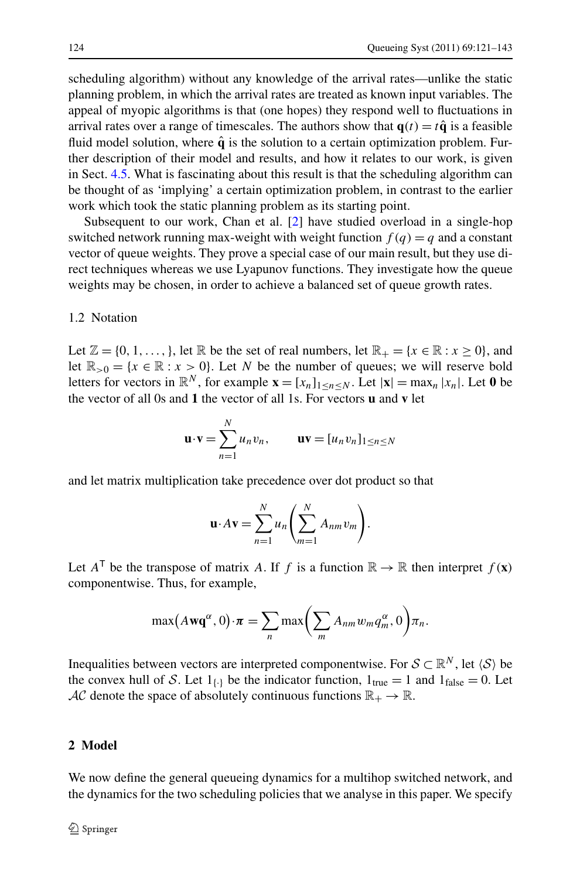scheduling algorithm) without any knowledge of the arrival rates—unlike the static planning problem, in which the arrival rates are treated as known input variables. The appeal of myopic algorithms is that (one hopes) they respond well to fluctuations in arrival rates over a range of timescales. The authors show that  $q(t) = t\hat{q}$  is a feasible fluid model solution, where  $\hat{q}$  is the solution to a certain optimization problem. Further description of their model and results, and how it relates to our work, is given in Sect. [4.5.](#page-12-0) What is fascinating about this result is that the scheduling algorithm can be thought of as 'implying' a certain optimization problem, in contrast to the earlier work which took the static planning problem as its starting point.

Subsequent to our work, Chan et al. [\[2](#page-22-14)] have studied overload in a single-hop switched network running max-weight with weight function  $f(q) = q$  and a constant vector of queue weights. They prove a special case of our main result, but they use direct techniques whereas we use Lyapunov functions. They investigate how the queue weights may be chosen, in order to achieve a balanced set of queue growth rates.

#### 1.2 Notation

Let  $\mathbb{Z} = \{0, 1, \ldots\}$ , let  $\mathbb R$  be the set of real numbers, let  $\mathbb R_+ = \{x \in \mathbb R : x \geq 0\}$ , and let  $\mathbb{R}_{>0} = \{x \in \mathbb{R} : x > 0\}$ . Let *N* be the number of queues; we will reserve bold letters for vectors in  $\mathbb{R}^N$ , for example  $\mathbf{x} = [x_n]_{1 \le n \le N}$ . Let  $|\mathbf{x}| = \max_n |x_n|$ . Let 0 be the vector of all 0s and **1** the vector of all 1s. For vectors **u** and **v** let

$$
\mathbf{u} \cdot \mathbf{v} = \sum_{n=1}^{N} u_n v_n, \qquad \mathbf{u} \mathbf{v} = [u_n v_n]_{1 \le n \le N}
$$

and let matrix multiplication take precedence over dot product so that

$$
\mathbf{u} \cdot A\mathbf{v} = \sum_{n=1}^{N} u_n \left( \sum_{m=1}^{N} A_{nm} v_m \right).
$$

Let  $A^T$  be the transpose of matrix *A*. If *f* is a function  $\mathbb{R} \to \mathbb{R}$  then interpret  $f(\mathbf{x})$ componentwise. Thus, for example,

$$
\max(A\mathbf{w}\mathbf{q}^{\alpha},0)\cdot\boldsymbol{\pi}=\sum_{n}\max\biggl(\sum_{m}A_{nm}w_{m}q_{m}^{\alpha},0\biggl)\pi_{n}.
$$

<span id="page-3-0"></span>Inequalities between vectors are interpreted componentwise. For  $S \subset \mathbb{R}^N$ , let  $\langle S \rangle$  be the convex hull of S. Let  $1_{\{\cdot\}}$  be the indicator function,  $1_{\text{true}} = 1$  and  $1_{\text{false}} = 0$ . Let AC denote the space of absolutely continuous functions  $\mathbb{R}_+ \to \mathbb{R}$ .

# **2 Model**

We now define the general queueing dynamics for a multihop switched network, and the dynamics for the two scheduling policies that we analyse in this paper. We specify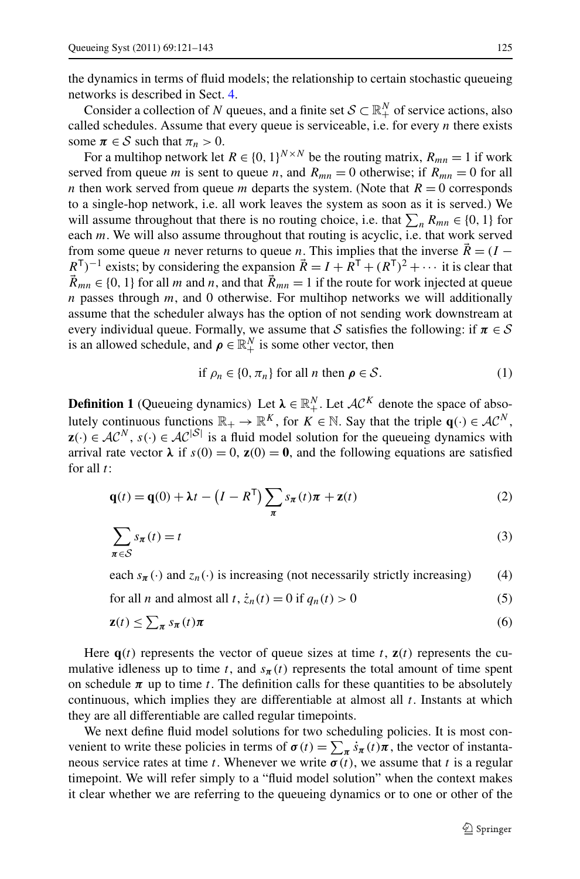the dynamics in terms of fluid models; the relationship to certain stochastic queueing networks is described in Sect. [4.](#page-7-0)

Consider a collection of *N* queues, and a finite set  $S \subset \mathbb{R}^N_+$  of service actions, also called schedules. Assume that every queue is serviceable, i.e. for every *n* there exists some  $\pi \in S$  such that  $\pi_n > 0$ .

For a multihop network let  $R \in \{0, 1\}^{N \times N}$  be the routing matrix,  $R_{mn} = 1$  if work served from queue *m* is sent to queue *n*, and  $R_{mn} = 0$  otherwise; if  $R_{mn} = 0$  for all *n* then work served from queue *m* departs the system. (Note that  $R = 0$  corresponds to a single-hop network, i.e. all work leaves the system as soon as it is served.) We will assume throughout that there is no routing choice, i.e. that  $\sum_{n} R_{mn} \in \{0, 1\}$  for each *m*. We will also assume throughout that routing is acyclic, i.e. that work served from some queue *n* never returns to queue *n*. This implies that the inverse  $\vec{R} = (I R^{T}$ <sup> $\bigcap$ </sup> exists; by considering the expansion  $\vec{R} = I + R^{T} + (R^{T})^{2} + \cdots$  it is clear that  $\vec{R}_{mn} \in \{0, 1\}$  for all *m* and *n*, and that  $\vec{R}_{mn} = 1$  if the route for work injected at queue *n* passes through *m*, and 0 otherwise. For multihop networks we will additionally assume that the scheduler always has the option of not sending work downstream at every individual queue. Formally, we assume that S satisfies the following: if  $\pi \in S$ is an allowed schedule, and  $\rho \in \mathbb{R}^N_+$  is some other vector, then

<span id="page-4-4"></span><span id="page-4-3"></span><span id="page-4-2"></span><span id="page-4-1"></span><span id="page-4-0"></span>
$$
\text{if } \rho_n \in \{0, \pi_n\} \text{ for all } n \text{ then } \rho \in \mathcal{S}. \tag{1}
$$

**Definition 1** (Queueing dynamics) Let  $\lambda \in \mathbb{R}^N_+$ . Let  $AC^K$  denote the space of absolutely continuous functions  $\mathbb{R}_+ \to \mathbb{R}^K$ , for  $K \in \mathbb{N}$ . Say that the triple  $\mathbf{q}(\cdot) \in \mathcal{AC}^N$ ,  $\mathbf{z}(\cdot) \in \mathcal{AC}^N$ ,  $s(\cdot) \in \mathcal{AC}^{|\mathcal{S}|}$  is a fluid model solution for the queueing dynamics with arrival rate vector  $\lambda$  if  $s(0) = 0$ ,  $z(0) = 0$ , and the following equations are satisfied for all *t*:

$$
\mathbf{q}(t) = \mathbf{q}(0) + \lambda t - \left(I - R^{\mathsf{T}}\right) \sum_{\pi} s_{\pi}(t) \pi + \mathbf{z}(t) \tag{2}
$$

$$
\sum_{\pi \in \mathcal{S}} s_{\pi}(t) = t \tag{3}
$$

each  $s_{\pi}(\cdot)$  and  $z_{n}(\cdot)$  is increasing (not necessarily strictly increasing) (4)

for all *n* and almost all *t*,  $\dot{z}_n(t) = 0$  if  $q_n(t) > 0$  (5)

$$
\mathbf{z}(t) \le \sum_{\pi} s_{\pi}(t)\pi \tag{6}
$$

Here  $q(t)$  represents the vector of queue sizes at time *t*,  $z(t)$  represents the cumulative idleness up to time *t*, and  $s_{\pi}(t)$  represents the total amount of time spent on schedule  $\pi$  up to time *t*. The definition calls for these quantities to be absolutely continuous, which implies they are differentiable at almost all *t*. Instants at which they are all differentiable are called regular timepoints.

We next define fluid model solutions for two scheduling policies. It is most convenient to write these policies in terms of  $\sigma(t) = \sum_{\pi} \dot{s}_{\pi}(t)\pi$ , the vector of instantaneous service rates at time *t*. Whenever we write  $\sigma(t)$ , we assume that *t* is a regular timepoint. We will refer simply to a "fluid model solution" when the context makes it clear whether we are referring to the queueing dynamics or to one or other of the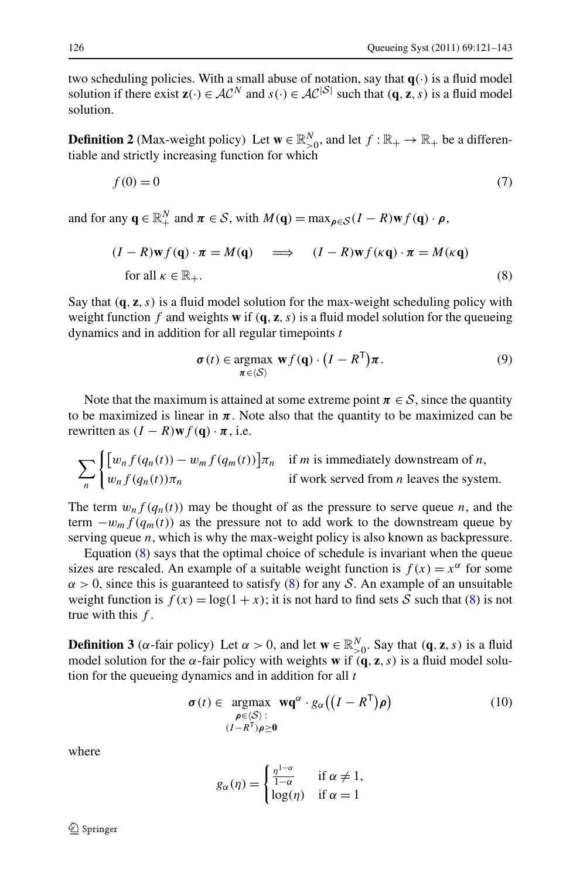two scheduling policies. With a small abuse of notation, say that  $q(\cdot)$  is a fluid model solution if there exist  $\mathbf{z}(\cdot) \in \mathcal{AC}^N$  and  $s(\cdot) \in \mathcal{AC}^{|\mathcal{S}|}$  such that  $(\mathbf{q}, \mathbf{z}, s)$  is a fluid model solution.

**Definition 2** (Max-weight policy) Let  $\mathbf{w} \in \mathbb{R}_{>0}^N$ , and let  $f : \mathbb{R}_+ \to \mathbb{R}_+$  be a differentiable and strictly increasing function for which

<span id="page-5-3"></span>
$$
f(0) = 0\tag{7}
$$

and for any  $\mathbf{q} \in \mathbb{R}_+^N$  and  $\pi \in \mathcal{S}$ , with  $M(\mathbf{q}) = \max_{\rho \in \mathcal{S}} (I - R) \mathbf{w} f(\mathbf{q}) \cdot \rho$ ,

$$
(I - R)\mathbf{w}f(\mathbf{q}) \cdot \boldsymbol{\pi} = M(\mathbf{q}) \quad \Longrightarrow \quad (I - R)\mathbf{w}f(\kappa \mathbf{q}) \cdot \boldsymbol{\pi} = M(\kappa \mathbf{q})
$$
  
for all  $\kappa \in \mathbb{R}_+$ . (8)

Say that *(***q***,* **z***,s)* is a fluid model solution for the max-weight scheduling policy with weight function f and weights **w** if  $(q, z, s)$  is a fluid model solution for the queueing dynamics and in addition for all regular timepoints *t*

<span id="page-5-1"></span><span id="page-5-0"></span>
$$
\boldsymbol{\sigma}(t) \in \underset{\boldsymbol{\pi} \in \langle \mathcal{S} \rangle}{\operatorname{argmax}} \ \boldsymbol{\mathrm{w}} \ \boldsymbol{f}(\mathbf{q}) \cdot \left( I - R^{\mathrm{T}} \right) \boldsymbol{\pi} \,. \tag{9}
$$

Note that the maximum is attained at some extreme point  $\pi \in S$ , since the quantity to be maximized is linear in  $\pi$ . Note also that the quantity to be maximized can be rewritten as  $(I - R)\mathbf{w} f(\mathbf{q}) \cdot \pi$ , i.e.

$$
\sum_{n} \begin{cases} [w_n f(q_n(t)) - w_m f(q_m(t))] \pi_n & \text{if } m \text{ is immediately downstream of } n, \\ w_n f(q_n(t)) \pi_n & \text{if work served from } n \text{ leaves the system.} \end{cases}
$$

The term  $w_n f(q_n(t))$  may be thought of as the pressure to serve queue *n*, and the term  $-w_m f(q_m(t))$  as the pressure not to add work to the downstream queue by serving queue *n*, which is why the max-weight policy is also known as backpressure.

Equation ([8\)](#page-5-0) says that the optimal choice of schedule is invariant when the queue sizes are rescaled. An example of a suitable weight function is  $f(x) = x^{\alpha}$  for some  $\alpha$  > 0, since this is guaranteed to satisfy ([8\)](#page-5-0) for any S. An example of an unsuitable weight function is  $f(x) = \log(1 + x)$ ; it is not hard to find sets S such that ([8\)](#page-5-0) is not true with this *f* .

**Definition 3** (*α*-fair policy) Let  $\alpha > 0$ , and let  $\mathbf{w} \in \mathbb{R}_{>0}^N$ . Say that  $(\mathbf{q}, \mathbf{z}, s)$  is a fluid model solution for the  $\alpha$ -fair policy with weights **w** if  $(\mathbf{q}, \mathbf{z}, s)$  is a fluid model solution for the queueing dynamics and in addition for all *t*

<span id="page-5-2"></span>
$$
\sigma(t) \in \underset{\rho \in \langle S \rangle}{\operatorname{argmax}} \mathbf{w} \mathbf{q}^{\alpha} \cdot g_{\alpha} \big( (I - R^{\mathsf{T}}) \rho \big) \tag{10}
$$
\n
$$
\underset{(I - R^{\mathsf{T}}) \rho \ge 0}{\rho \in \langle S \rangle}.
$$

where

$$
g_{\alpha}(\eta) = \begin{cases} \frac{\eta^{1-\alpha}}{1-\alpha} & \text{if } \alpha \neq 1, \\ \log(\eta) & \text{if } \alpha = 1 \end{cases}
$$

 $\mathcal{D}$  Springer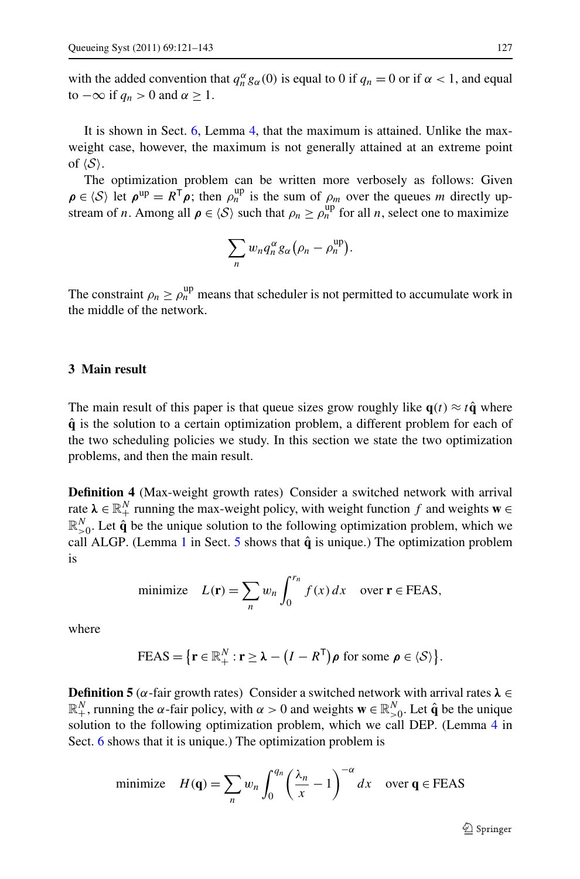with the added convention that  $q_n^{\alpha} g_{\alpha}(0)$  is equal to 0 if  $q_n = 0$  or if  $\alpha < 1$ , and equal to  $-\infty$  if  $q_n > 0$  and  $\alpha > 1$ .

It is shown in Sect. [6,](#page-16-0) Lemma [4,](#page-16-1) that the maximum is attained. Unlike the maxweight case, however, the maximum is not generally attained at an extreme point of  $\langle \mathcal{S} \rangle$ .

The optimization problem can be written more verbosely as follows: Given  $\rho \in \langle S \rangle$  let  $\rho^{\text{up}} = R^{\text{T}} \rho$ ; then  $\rho^{\text{up}}_n$  is the sum of  $\rho_m$  over the queues *m* directly upstream of *n*. Among all  $\rho \in \langle S \rangle$  such that  $\rho_n \ge \rho_n^{up}$  for all *n*, select one to maximize

$$
\sum_n w_n q_n^{\alpha} g_{\alpha} (\rho_n - \rho_n^{\rm up}).
$$

<span id="page-6-0"></span>The constraint  $\rho_n \ge \rho_n^{\text{up}}$  means that scheduler is not permitted to accumulate work in the middle of the network.

# <span id="page-6-1"></span>**3 Main result**

The main result of this paper is that queue sizes grow roughly like  $q(t) \approx t\hat{q}$  where **q**ˆ is the solution to a certain optimization problem, a different problem for each of the two scheduling policies we study. In this section we state the two optimization problems, and then the main result.

**Definition 4** (Max-weight growth rates) Consider a switched network with arrival rate  $\lambda \in \mathbb{R}^N_+$  running the max-weight policy, with weight function *f* and weights  $\mathbf{w} \in$  $\mathbb{R}^N_{>0}$ . Let  $\hat{\mathbf{q}}$  be the unique solution to the following optimization problem, which we call ALGP. (Lemma [1](#page-13-1) in Sect. [5](#page-13-0) shows that  $\hat{\mathbf{q}}$  is unique.) The optimization problem is

<span id="page-6-2"></span>minimize 
$$
L(\mathbf{r}) = \sum_{n} w_n \int_0^{r_n} f(x) dx
$$
 over  $\mathbf{r} \in$  FEAS,

where

$$
\text{FEAS} = \{ \mathbf{r} \in \mathbb{R}_+^N : \mathbf{r} \ge \lambda - (I - R^{\mathsf{T}}) \rho \text{ for some } \rho \in \langle S \rangle \}.
$$

**Definition 5** (*α*-fair growth rates) Consider a switched network with arrival rates *λ* ∈  $\mathbb{R}^N_+$ , running the *α*-fair policy, with *α* > 0 and weights **w** ∈  $\mathbb{R}^N_{>0}$ . Let  $\hat{\mathbf{q}}$  be the unique solution to the following optimization problem, which we call DEP. (Lemma [4](#page-16-1) in Sect. [6](#page-16-0) shows that it is unique.) The optimization problem is

minimize 
$$
H(\mathbf{q}) = \sum_{n} w_n \int_0^{q_n} \left(\frac{\lambda_n}{x} - 1\right)^{-\alpha} dx
$$
 over  $\mathbf{q} \in$  FEAS

 $\circledcirc$  Springer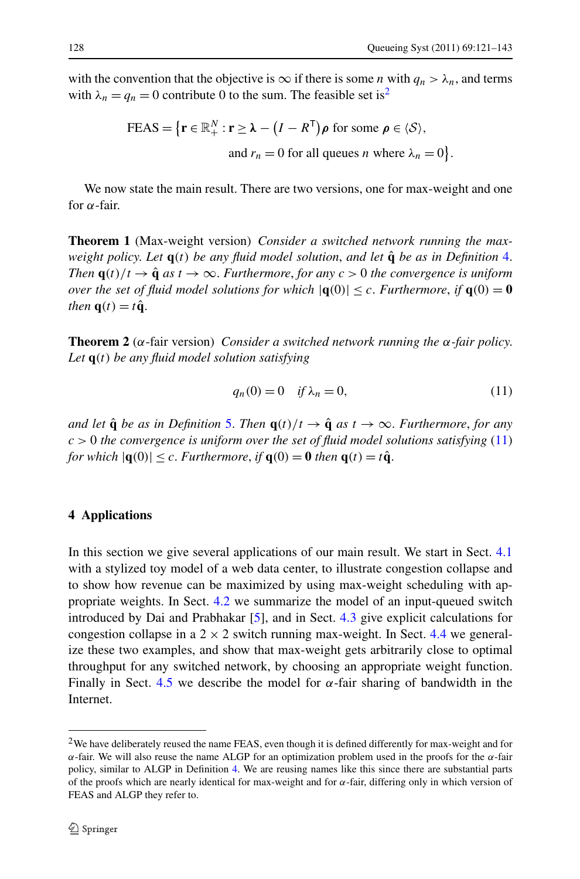with the convention that the objective is  $\infty$  if there is some *n* with  $q_n > \lambda_n$ , and terms with  $\lambda_n = q_n = 0$  contribute 0 to the sum. The feasible set is<sup>[2](#page-7-1)</sup>

<span id="page-7-3"></span>
$$
\text{FEAS} = \{ \mathbf{r} \in \mathbb{R}_+^N : \mathbf{r} \ge \lambda - (I - R^T) \rho \text{ for some } \rho \in \langle \mathcal{S} \rangle, \text{ and } r_n = 0 \text{ for all queues } n \text{ where } \lambda_n = 0 \}.
$$

We now state the main result. There are two versions, one for max-weight and one for *α*-fair.

<span id="page-7-4"></span>**Theorem 1** (Max-weight version) *Consider a switched network running the maxweight policy. Let*  $\mathbf{q}(t)$  *be any fluid model solution, and let*  $\hat{\mathbf{q}}$  *be as in Definition* [4](#page-6-1). *Then*  $\mathbf{q}(t)/t \to \hat{\mathbf{q}}$  *as*  $t \to \infty$ . *Furthermore*, *for any*  $c > 0$  *the convergence is uniform over the set of fluid model solutions for which*  $|\mathbf{q}(0)| \leq c$ . *Furthermore, if*  $\mathbf{q}(0) = \mathbf{0}$ *then*  $q(t) = t\hat{q}$ .

**Theorem 2** (*α*-fair version) *Consider a switched network running the α-fair policy*. *Let* **q***(t) be any fluid model solution satisfying*

<span id="page-7-2"></span>
$$
q_n(0) = 0 \quad \text{if } \lambda_n = 0,\tag{11}
$$

<span id="page-7-0"></span>*and let*  $\hat{\mathbf{q}}$  *be as in Definition* [5.](#page-6-2) *Then*  $\mathbf{q}(t)/t \to \hat{\mathbf{q}}$  *as*  $t \to \infty$ . *Furthermore, for any c >* 0 *the convergence is uniform over the set of fluid model solutions satisfying* [\(11](#page-7-2)) *for which*  $|{\bf q}(0)| \le c$ . *Furthermore*, *if*  ${\bf q}(0) = {\bf 0}$  *then*  ${\bf q}(t) = t{\bf \hat{q}}$ .

# **4 Applications**

<span id="page-7-1"></span>In this section we give several applications of our main result. We start in Sect. [4.1](#page-8-0) with a stylized toy model of a web data center, to illustrate congestion collapse and to show how revenue can be maximized by using max-weight scheduling with appropriate weights. In Sect. [4.2](#page-9-0) we summarize the model of an input-queued switch introduced by Dai and Prabhakar [[5\]](#page-22-0), and in Sect. [4.3](#page-10-0) give explicit calculations for congestion collapse in a  $2 \times 2$  switch running max-weight. In Sect. [4.4](#page-11-0) we generalize these two examples, and show that max-weight gets arbitrarily close to optimal throughput for any switched network, by choosing an appropriate weight function. Finally in Sect. [4.5](#page-12-0) we describe the model for  $\alpha$ -fair sharing of bandwidth in the Internet.

<sup>&</sup>lt;sup>2</sup>We have deliberately reused the name FEAS, even though it is defined differently for max-weight and for *α*-fair. We will also reuse the name ALGP for an optimization problem used in the proofs for the *α*-fair policy, similar to ALGP in Definition [4.](#page-6-1) We are reusing names like this since there are substantial parts of the proofs which are nearly identical for max-weight and for *α*-fair, differing only in which version of FEAS and ALGP they refer to.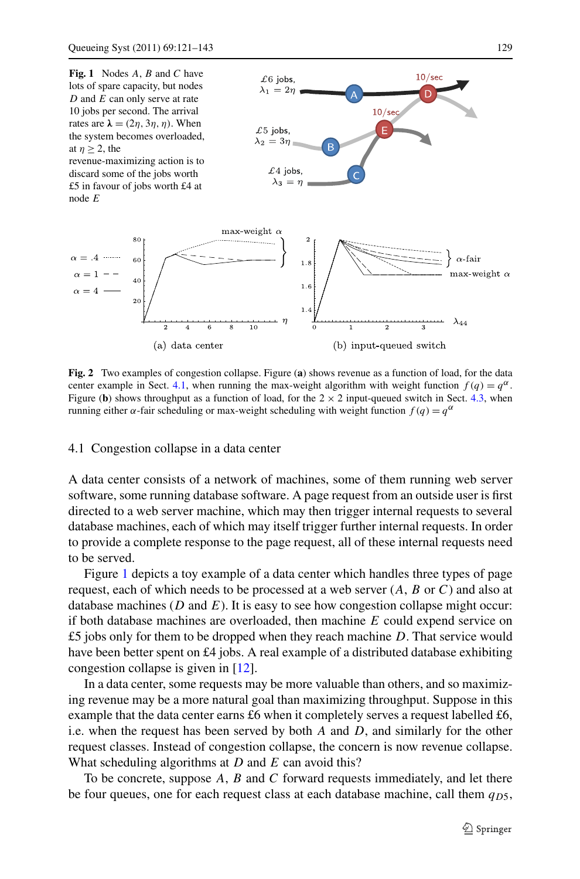**Fig. 1** Nodes *A*, *B* and *C* have

at  $n \geq 2$ , the

node *E*

<span id="page-8-1"></span>

<span id="page-8-2"></span>

<span id="page-8-0"></span>**Fig. 2** Two examples of congestion collapse. Figure (**a**) shows revenue as a function of load, for the data center example in Sect. [4.1,](#page-8-0) when running the max-weight algorithm with weight function  $f(q) = q^{\alpha}$ . Figure (**b**) shows throughput as a function of load, for the  $2 \times 2$  input-queued switch in Sect. [4.3,](#page-10-0) when running either *α*-fair scheduling or max-weight scheduling with weight function  $f(q) = q<sup>α</sup>$ 

#### 4.1 Congestion collapse in a data center

A data center consists of a network of machines, some of them running web server software, some running database software. A page request from an outside user is first directed to a web server machine, which may then trigger internal requests to several database machines, each of which may itself trigger further internal requests. In order to provide a complete response to the page request, all of these internal requests need to be served.

Figure [1](#page-8-1) depicts a toy example of a data center which handles three types of page request, each of which needs to be processed at a web server (*A*, *B* or *C*) and also at database machines (*D* and *E*). It is easy to see how congestion collapse might occur: if both database machines are overloaded, then machine *E* could expend service on £5 jobs only for them to be dropped when they reach machine *D*. That service would have been better spent on £4 jobs. A real example of a distributed database exhibiting congestion collapse is given in [[12](#page-22-6)].

In a data center, some requests may be more valuable than others, and so maximizing revenue may be a more natural goal than maximizing throughput. Suppose in this example that the data center earns £6 when it completely serves a request labelled £6, i.e. when the request has been served by both *A* and *D*, and similarly for the other request classes. Instead of congestion collapse, the concern is now revenue collapse. What scheduling algorithms at *D* and *E* can avoid this?

To be concrete, suppose *A*, *B* and *C* forward requests immediately, and let there be four queues, one for each request class at each database machine, call them  $q_{D5}$ ,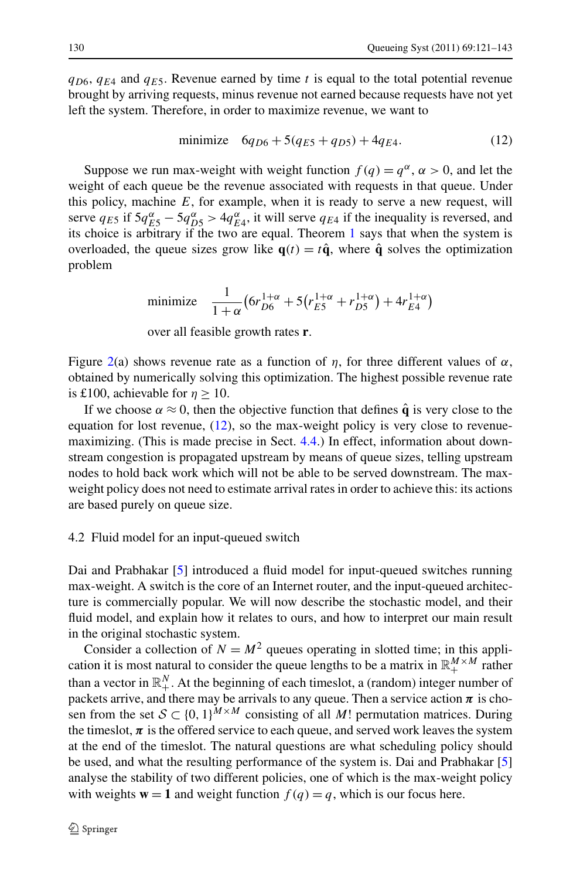$q_{D6}$ ,  $q_{E4}$  and  $q_{E5}$ . Revenue earned by time *t* is equal to the total potential revenue brought by arriving requests, minus revenue not earned because requests have not yet left the system. Therefore, in order to maximize revenue, we want to

<span id="page-9-1"></span>minimize 
$$
6q_{D6} + 5(q_{E5} + q_{D5}) + 4q_{E4}
$$
. (12)

Suppose we run max-weight with weight function  $f(q) = q^{\alpha}, \alpha > 0$ , and let the weight of each queue be the revenue associated with requests in that queue. Under this policy, machine  $E$ , for example, when it is ready to serve a new request, will serve  $q_{E5}$  if  $5q_{E5}^{\alpha} - 5q_{D5}^{\alpha} > 4q_{E4}^{\alpha}$ , it will serve  $q_{E4}$  if the inequality is reversed, and its choice is arbitrary if the two are equal. Theorem [1](#page-7-3) says that when the system is overloaded, the queue sizes grow like  $q(t) = t\hat{q}$ , where  $\hat{q}$  solves the optimization problem

minimize 
$$
\frac{1}{1+\alpha} \left(6r_{D6}^{1+\alpha} + 5\left(r_{E5}^{1+\alpha} + r_{D5}^{1+\alpha}\right) + 4r_{E4}^{1+\alpha}\right)
$$

over all feasible growth rates **r***.*

Figure [2](#page-8-2)(a) shows revenue rate as a function of *η*, for three different values of  $α$ , obtained by numerically solving this optimization. The highest possible revenue rate is £100, achievable for  $n > 10$ .

<span id="page-9-0"></span>If we choose  $\alpha \approx 0$ , then the objective function that defines  $\hat{\mathbf{q}}$  is very close to the equation for lost revenue, [\(12](#page-9-1)), so the max-weight policy is very close to revenuemaximizing. (This is made precise in Sect. [4.4](#page-11-0).) In effect, information about downstream congestion is propagated upstream by means of queue sizes, telling upstream nodes to hold back work which will not be able to be served downstream. The maxweight policy does not need to estimate arrival rates in order to achieve this: its actions are based purely on queue size.

## 4.2 Fluid model for an input-queued switch

Dai and Prabhakar [\[5](#page-22-0)] introduced a fluid model for input-queued switches running max-weight. A switch is the core of an Internet router, and the input-queued architecture is commercially popular. We will now describe the stochastic model, and their fluid model, and explain how it relates to ours, and how to interpret our main result in the original stochastic system.

Consider a collection of  $N = M^2$  queues operating in slotted time; in this application it is most natural to consider the queue lengths to be a matrix in  $\mathbb{R}^{M \times M}_{+}$  rather than a vector in  $\mathbb{R}^N_+$ . At the beginning of each timeslot, a (random) integer number of packets arrive, and there may be arrivals to any queue. Then a service action  $\pi$  is chosen from the set  $S \subset \{0, 1\}^{M \times M}$  consisting of all *M*! permutation matrices. During the timeslot,  $\pi$  is the offered service to each queue, and served work leaves the system at the end of the timeslot. The natural questions are what scheduling policy should be used, and what the resulting performance of the system is. Dai and Prabhakar [\[5](#page-22-0)] analyse the stability of two different policies, one of which is the max-weight policy with weights  $\mathbf{w} = \mathbf{1}$  and weight function  $f(q) = q$ , which is our focus here.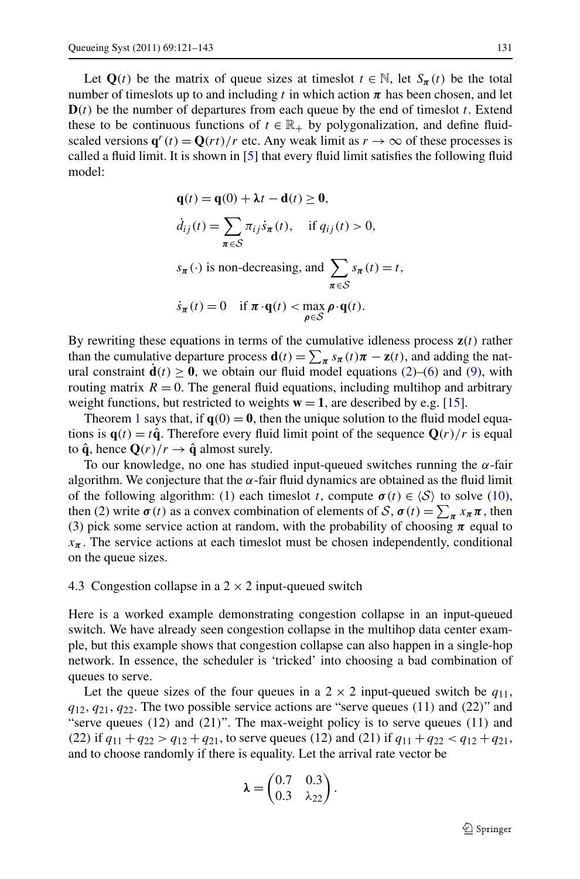Let  $\mathbf{Q}(t)$  be the matrix of queue sizes at timeslot  $t \in \mathbb{N}$ , let  $S_{\pi}(t)$  be the total number of timeslots up to and including t in which action  $\pi$  has been chosen, and let  **be the number of departures from each queue by the end of timeslot** *t***. Extend** these to be continuous functions of  $t \in \mathbb{R}_+$  by polygonalization, and define fluidscaled versions  $\mathbf{q}^r(t) = \mathbf{Q}(rt)/r$  etc. Any weak limit as  $r \to \infty$  of these processes is called a fluid limit. It is shown in [[5\]](#page-22-0) that every fluid limit satisfies the following fluid model:

$$
\mathbf{q}(t) = \mathbf{q}(0) + \lambda t - \mathbf{d}(t) \ge \mathbf{0},
$$
  
\n
$$
\dot{d}_{ij}(t) = \sum_{\pi \in S} \pi_{ij} \dot{s}_{\pi}(t), \quad \text{if } q_{ij}(t) > 0,
$$
  
\n
$$
s_{\pi}(\cdot) \text{ is non-decreasing, and } \sum_{\pi \in S} s_{\pi}(t) = t,
$$
  
\n
$$
\dot{s}_{\pi}(t) = 0 \quad \text{if } \pi \cdot \mathbf{q}(t) < \max_{\rho \in S} \rho \cdot \mathbf{q}(t).
$$

By rewriting these equations in terms of the cumulative idleness process **z***(t)* rather than the cumulative departure process  $\mathbf{d}(t) = \sum_{\pi} s_{\pi}(t)\pi - \mathbf{z}(t)$ , and adding the natural constraint  $\mathbf{d}(t) \geq 0$ , we obtain our fluid model equations ([2\)](#page-4-0)–[\(6](#page-4-1)) and ([9\)](#page-5-1), with routing matrix  $R = 0$ . The general fluid equations, including multihop and arbitrary weight functions, but restricted to weights  $w = 1$ , are described by e.g. [\[15](#page-22-10)].

Theorem [1](#page-7-3) says that, if  $q(0) = 0$ , then the unique solution to the fluid model equations is  $\mathbf{q}(t) = t\hat{\mathbf{q}}$ . Therefore every fluid limit point of the sequence  $\mathbf{Q}(r)/r$  is equal to  $\hat{\mathbf{q}}$ , hence  $\mathbf{Q}(r)/r \to \hat{\mathbf{q}}$  almost surely.

<span id="page-10-0"></span>To our knowledge, no one has studied input-queued switches running the *α*-fair algorithm. We conjecture that the *α*-fair fluid dynamics are obtained as the fluid limit of the following algorithm: (1) each timeslot *t*, compute  $\sigma(t) \in \langle S \rangle$  to solve ([10\)](#page-5-2), then (2) write  $\sigma(t)$  as a convex combination of elements of S,  $\sigma(t) = \sum_{\pi} x_{\pi} \pi$ , then (3) pick some service action at random, with the probability of choosing *π* equal to  $x_{\pi}$ . The service actions at each timeslot must be chosen independently, conditional on the queue sizes.

## 4.3 Congestion collapse in a  $2 \times 2$  input-queued switch

Here is a worked example demonstrating congestion collapse in an input-queued switch. We have already seen congestion collapse in the multihop data center example, but this example shows that congestion collapse can also happen in a single-hop network. In essence, the scheduler is 'tricked' into choosing a bad combination of queues to serve.

Let the queue sizes of the four queues in a  $2 \times 2$  input-queued switch be  $q_{11}$ , *q*12, *q*21, *q*22. The two possible service actions are "serve queues *(*11*)* and *(*22*)*" and "serve queues *(*12*)* and *(*21*)*". The max-weight policy is to serve queues *(*11*)* and *(*22*)* if *q*<sup>11</sup> + *q*<sup>22</sup> *> q*<sup>12</sup> + *q*21, to serve queues *(*12*)* and *(*21*)* if *q*<sup>11</sup> + *q*<sup>22</sup> *< q*<sup>12</sup> + *q*21, and to choose randomly if there is equality. Let the arrival rate vector be

$$
\lambda = \begin{pmatrix} 0.7 & 0.3 \\ 0.3 & \lambda_{22} \end{pmatrix}.
$$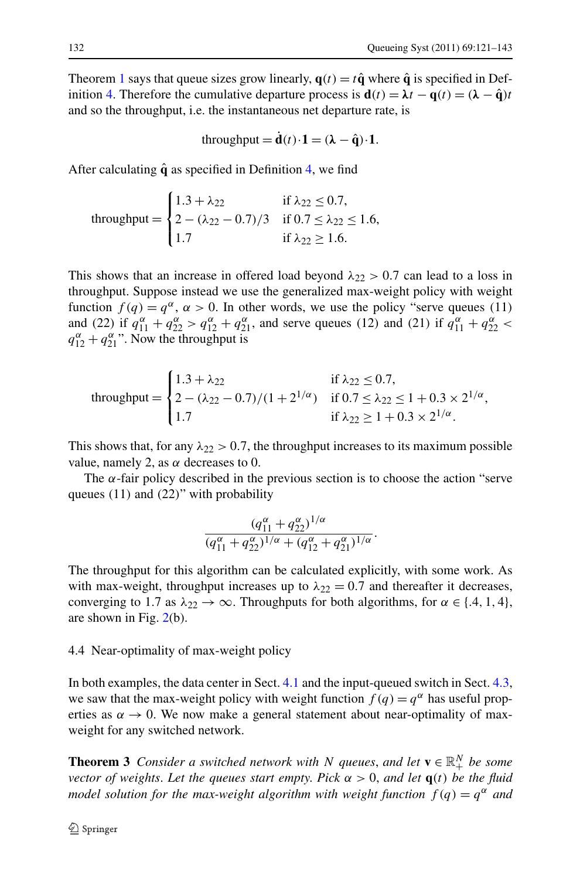Theorem [1](#page-7-3) says that queue sizes grow linearly,  $q(t) = t\hat{q}$  where  $\hat{q}$  is specified in Def-inition [4](#page-6-1). Therefore the cumulative departure process is  $\mathbf{d}(t) = \lambda t - \mathbf{q}(t) = (\lambda - \hat{\mathbf{q}})t$ and so the throughput, i.e. the instantaneous net departure rate, is

throughput = 
$$
\dot{\mathbf{d}}(t) \cdot \mathbf{1} = (\lambda - \hat{\mathbf{q}}) \cdot \mathbf{1}
$$
.

After calculating  $\hat{\mathbf{q}}$  as specified in Definition [4,](#page-6-1) we find

throughput = 
$$
\begin{cases} 1.3 + \lambda_{22} & \text{if } \lambda_{22} \le 0.7, \\ 2 - (\lambda_{22} - 0.7)/3 & \text{if } 0.7 \le \lambda_{22} \le 1.6, \\ 1.7 & \text{if } \lambda_{22} \ge 1.6. \end{cases}
$$

This shows that an increase in offered load beyond  $\lambda_{22} > 0.7$  can lead to a loss in throughput. Suppose instead we use the generalized max-weight policy with weight function  $f(q) = q^{\alpha}, \alpha > 0$ . In other words, we use the policy "serve queues (11) and (22) if  $q_{11}^{\alpha} + q_{22}^{\alpha} > q_{12}^{\alpha} + q_{21}^{\alpha}$ , and serve queues (12) and (21) if  $q_{11}^{\alpha} + q_{22}^{\alpha} <$  $q_{12}^{\alpha} + q_{21}^{\alpha}$ ". Now the throughput is

throughput = 
$$
\begin{cases} 1.3 + \lambda_{22} & \text{if } \lambda_{22} \le 0.7, \\ 2 - (\lambda_{22} - 0.7)/(1 + 2^{1/\alpha}) & \text{if } 0.7 \le \lambda_{22} \le 1 + 0.3 \times 2^{1/\alpha}, \\ 1.7 & \text{if } \lambda_{22} \ge 1 + 0.3 \times 2^{1/\alpha}. \end{cases}
$$

This shows that, for any  $\lambda_{22} > 0.7$ , the throughput increases to its maximum possible value, namely 2, as  $\alpha$  decreases to 0.

The  $\alpha$ -fair policy described in the previous section is to choose the action "serve" queues *(*11*)* and *(*22*)*" with probability

$$
\frac{(q_{11}^{\alpha}+q_{22}^{\alpha})^{1/\alpha}}{(q_{11}^{\alpha}+q_{22}^{\alpha})^{1/\alpha}+(q_{12}^{\alpha}+q_{21}^{\alpha})^{1/\alpha}}.
$$

<span id="page-11-0"></span>The throughput for this algorithm can be calculated explicitly, with some work. As with max-weight, throughput increases up to  $\lambda_{22} = 0.7$  and thereafter it decreases, converging to 1.7 as  $\lambda_{22} \rightarrow \infty$ . Throughputs for both algorithms, for  $\alpha \in \{.4, 1, 4\}$ , are shown in Fig.  $2(b)$  $2(b)$ .

## <span id="page-11-1"></span>4.4 Near-optimality of max-weight policy

In both examples, the data center in Sect. [4.1](#page-8-0) and the input-queued switch in Sect. [4.3](#page-10-0), we saw that the max-weight policy with weight function  $f(q) = q^{\alpha}$  has useful properties as  $\alpha \to 0$ . We now make a general statement about near-optimality of maxweight for any switched network.

**Theorem 3** *Consider a switched network with N queues, and let*  $\mathbf{v} \in \mathbb{R}_+^N$  *be some vector of weights*. *Let the queues start empty*. *Pick α >* 0, *and let* **q***(t) be the fluid model solution for the max-weight algorithm with weight function*  $f(q) = q^{\alpha}$  *and*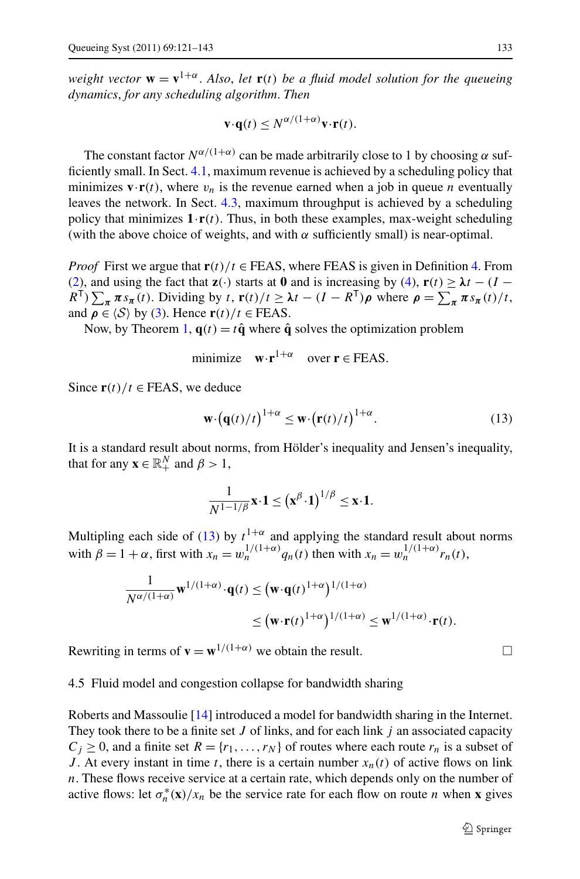*weight vector*  $\mathbf{w} = \mathbf{v}^{1+\alpha}$ . *Also, let*  $\mathbf{r}(t)$  *be a fluid model solution for the queueing dynamics*, *for any scheduling algorithm*. *Then*

$$
\mathbf{v} \cdot \mathbf{q}(t) \leq N^{\alpha/(1+\alpha)} \mathbf{v} \cdot \mathbf{r}(t).
$$

The constant factor  $N^{\alpha/(1+\alpha)}$  can be made arbitrarily close to 1 by choosing  $\alpha$  sufficiently small. In Sect. [4.1](#page-8-0), maximum revenue is achieved by a scheduling policy that minimizes  $\mathbf{v} \cdot \mathbf{r}(t)$ , where  $v_n$  is the revenue earned when a job in queue *n* eventually leaves the network. In Sect. [4.3](#page-10-0), maximum throughput is achieved by a scheduling policy that minimizes  $1 \cdot r(t)$ . Thus, in both these examples, max-weight scheduling (with the above choice of weights, and with  $\alpha$  sufficiently small) is near-optimal.

*Proof* First we argue that  $\mathbf{r}(t)/t \in \text{FEAS}$ , where FEAS is given in Definition [4](#page-6-1). From [\(2](#page-4-0)), and using the fact that **z**( $\cdot$ ) starts at **0** and is increasing by [\(4](#page-4-2)), **r**(*t*)  $\geq \lambda t - (I R^{\mathsf{T}}\sum_{\pi} \pi s_{\pi}(t)$ . Dividing by t,  $\mathbf{r}(t)/t \geq \lambda t - (I - R^{\mathsf{T}})\rho$  where  $\rho = \sum_{\pi} \pi s_{\pi}(t)/t$ , and  $\rho \in \langle S \rangle$  by ([3\)](#page-4-3). Hence  $\mathbf{r}(t)/t \in \text{FEAS}$ .

Now, by Theorem [1](#page-7-3),  $q(t) = t\hat{q}$  where  $\hat{q}$  solves the optimization problem

<span id="page-12-1"></span>minimize 
$$
\mathbf{w} \cdot \mathbf{r}^{1+\alpha}
$$
 over  $\mathbf{r} \in$  FEAS.

Since  $\mathbf{r}(t)/t \in \text{FEAS}$ , we deduce

$$
\mathbf{w} \cdot (\mathbf{q}(t)/t)^{1+\alpha} \le \mathbf{w} \cdot (\mathbf{r}(t)/t)^{1+\alpha}.
$$
 (13)

It is a standard result about norms, from Hölder's inequality and Jensen's inequality, that for any  $\mathbf{x} \in \mathbb{R}_+^N$  and  $\beta > 1$ ,

$$
\frac{1}{N^{1-1/\beta}}\mathbf{x}\cdot \mathbf{1} \leq (\mathbf{x}^{\beta}\cdot \mathbf{1})^{1/\beta} \leq \mathbf{x}\cdot \mathbf{1}.
$$

<span id="page-12-0"></span>Multipling each side of [\(13](#page-12-1)) by  $t^{1+\alpha}$  and applying the standard result about norms with  $\beta = 1 + \alpha$ , first with  $x_n = w_n^{1/(1+\alpha)} q_n(t)$  then with  $x_n = w_n^{1/(1+\alpha)} r_n(t)$ ,

$$
\frac{1}{N^{\alpha/(1+\alpha)}} \mathbf{w}^{1/(1+\alpha)} \cdot \mathbf{q}(t) \leq (\mathbf{w} \cdot \mathbf{q}(t)^{1+\alpha})^{1/(1+\alpha)}
$$
  
 
$$
\leq (\mathbf{w} \cdot \mathbf{r}(t)^{1+\alpha})^{1/(1+\alpha)} \leq \mathbf{w}^{1/(1+\alpha)} \cdot \mathbf{r}(t).
$$

Rewriting in terms of  $\mathbf{v} = \mathbf{w}^{1/(1+\alpha)}$  we obtain the result.

#### 4.5 Fluid model and congestion collapse for bandwidth sharing

Roberts and Massoulie [[14\]](#page-22-15) introduced a model for bandwidth sharing in the Internet. They took there to be a finite set *J* of links, and for each link *j* an associated capacity  $C_j \geq 0$ , and a finite set  $R = \{r_1, \ldots, r_N\}$  of routes where each route  $r_n$  is a subset of *J*. At every instant in time *t*, there is a certain number  $x_n(t)$  of active flows on link *n*. These flows receive service at a certain rate, which depends only on the number of active flows: let  $\sigma_n^*(\mathbf{x})/x_n$  be the service rate for each flow on route *n* when **x** gives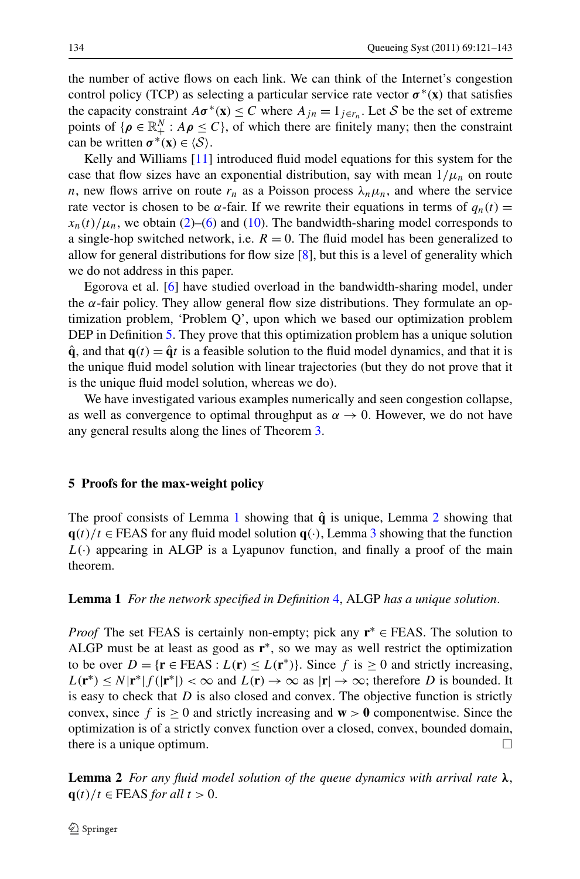the number of active flows on each link. We can think of the Internet's congestion control policy (TCP) as selecting a particular service rate vector  $\sigma^*(\mathbf{x})$  that satisfies the capacity constraint  $A\sigma^*(\mathbf{x}) \leq C$  where  $A_{in} = 1_{i \in \mathbb{F}_n}$ . Let S be the set of extreme points of  $\{\rho \in \mathbb{R}^N_+ : A\rho \le C\}$ , of which there are finitely many; then the constraint can be written  $\sigma^*(\mathbf{x}) \in \langle \mathcal{S} \rangle$ .

Kelly and Williams [\[11](#page-22-4)] introduced fluid model equations for this system for the case that flow sizes have an exponential distribution, say with mean  $1/\mu_n$  on route *n*, new flows arrive on route  $r_n$  as a Poisson process  $\lambda_n \mu_n$ , and where the service rate vector is chosen to be  $\alpha$ -fair. If we rewrite their equations in terms of  $q_n(t)$  =  $x_n(t)/\mu_n$ , we obtain ([2](#page-4-0))–[\(6](#page-4-1)) and ([10\)](#page-5-2). The bandwidth-sharing model corresponds to a single-hop switched network, i.e.  $R = 0$ . The fluid model has been generalized to allow for general distributions for flow size  $[8]$  $[8]$ , but this is a level of generality which we do not address in this paper.

Egorova et al. [\[6](#page-22-13)] have studied overload in the bandwidth-sharing model, under the  $\alpha$ -fair policy. They allow general flow size distributions. They formulate an optimization problem, 'Problem Q', upon which we based our optimization problem DEP in Definition [5.](#page-6-2) They prove that this optimization problem has a unique solution  $\hat{\mathbf{q}}$ , and that  $\mathbf{q}(t) = \hat{\mathbf{q}}t$  is a feasible solution to the fluid model dynamics, and that it is the unique fluid model solution with linear trajectories (but they do not prove that it is the unique fluid model solution, whereas we do).

<span id="page-13-0"></span>We have investigated various examples numerically and seen congestion collapse, as well as convergence to optimal throughput as  $\alpha \rightarrow 0$ . However, we do not have any general results along the lines of Theorem [3.](#page-11-1)

# <span id="page-13-1"></span>**5 Proofs for the max-weight policy**

The proof consists of Lemma [1](#page-13-1) showing that **q**ˆ is unique, Lemma [2](#page-13-2) showing that **q**(*t*)/*t* ∈ FEAS for any fluid model solution **q**(⋅), Lemma [3](#page-14-0) showing that the function  $L(\cdot)$  appearing in ALGP is a Lyapunov function, and finally a proof of the main theorem.

#### **Lemma 1** *For the network specified in Definition* [4](#page-6-1), ALGP *has a unique solution*.

<span id="page-13-2"></span>*Proof* The set FEAS is certainly non-empty; pick any **r**<sup>∗</sup> ∈ FEAS. The solution to ALGP must be at least as good as **r**∗, so we may as well restrict the optimization to be over  $D = \{r \in FEAS : L(r) \leq L(r^*)\}$ . Since f is  $\geq 0$  and strictly increasing,  $L(\mathbf{r}^*) \leq N |\mathbf{r}^*| f(|\mathbf{r}^*|) < \infty$  and  $L(\mathbf{r}) \to \infty$  as  $|\mathbf{r}| \to \infty$ ; therefore *D* is bounded. It is easy to check that  $D$  is also closed and convex. The objective function is strictly convex, since  $f$  is  $\geq 0$  and strictly increasing and  $\mathbf{w} > \mathbf{0}$  componentwise. Since the optimization is of a strictly convex function over a closed, convex, bounded domain, there is a unique optimum.  $\Box$ 

**Lemma 2** *For any fluid model solution of the queue dynamics with arrival rate λ*, **q** $(t)/t$  ∈ FEAS *for all*  $t > 0$ .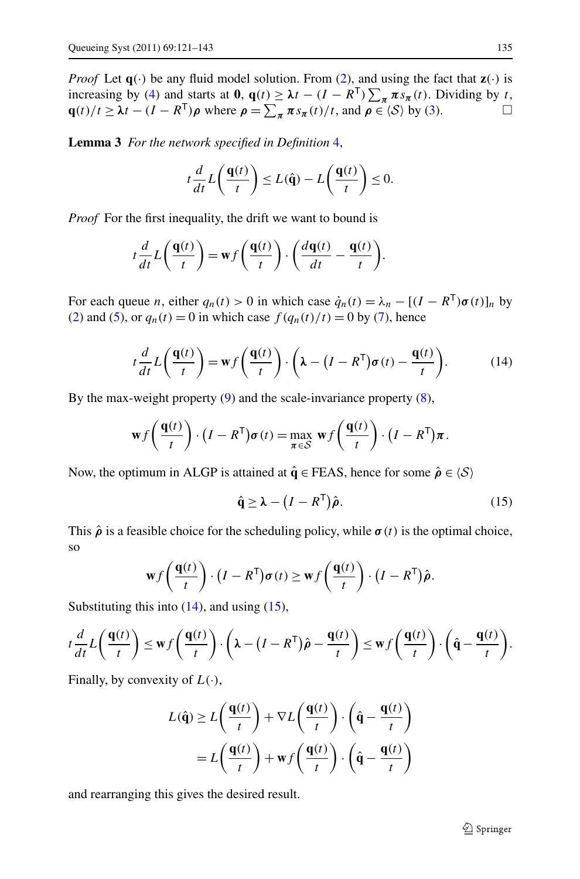<span id="page-14-0"></span>*Proof* Let  $\mathbf{q}(\cdot)$  be any fluid model solution. From ([2\)](#page-4-0), and using the fact that  $\mathbf{z}(\cdot)$  is increasing by ([4\)](#page-4-2) and starts at **0**,  $\mathbf{q}(t) \geq \lambda t - (I - R^{\mathsf{T}}) \sum_{\pi} \pi s_{\pi}(t)$ . Dividing by *t*, **q**(*t*)/*t* ≥  $\lambda t$  − (*I* − *R*<sup>T</sup>) $\rho$  where  $\rho = \sum_{\pi} \pi s_{\pi}(t)/t$ , and  $\rho \in \langle S \rangle$  by [\(3](#page-4-3)).  $\Box$ 

**Lemma 3** *For the network specified in Definition* [4](#page-6-1),

<span id="page-14-1"></span>
$$
t\frac{d}{dt}L\left(\frac{\mathbf{q}(t)}{t}\right)\leq L(\hat{\mathbf{q}})-L\left(\frac{\mathbf{q}(t)}{t}\right)\leq 0.
$$

*Proof* For the first inequality, the drift we want to bound is

$$
t\frac{d}{dt}L\left(\frac{\mathbf{q}(t)}{t}\right) = \mathbf{w}f\left(\frac{\mathbf{q}(t)}{t}\right)\cdot\left(\frac{d\mathbf{q}(t)}{dt}-\frac{\mathbf{q}(t)}{t}\right).
$$

For each queue *n*, either  $q_n(t) > 0$  in which case  $\dot{q}_n(t) = \lambda_n - [(I - R^T)\sigma(t)]_n$  by [\(2](#page-4-0)) and [\(5](#page-4-4)), or  $q_n(t) = 0$  in which case  $f(q_n(t)/t) = 0$  by ([7\)](#page-5-3), hence

$$
t\frac{d}{dt}L\left(\frac{\mathbf{q}(t)}{t}\right) = \mathbf{w}f\left(\frac{\mathbf{q}(t)}{t}\right)\cdot\left(\lambda - \left(I - R^{\mathsf{T}}\right)\boldsymbol{\sigma}(t) - \frac{\mathbf{q}(t)}{t}\right). \tag{14}
$$

By the max-weight property [\(9](#page-5-1)) and the scale-invariance property ([8\)](#page-5-0),

$$
\mathbf{w} f\left(\frac{\mathbf{q}(t)}{t}\right) \cdot (I - R^{\mathsf{T}}) \boldsymbol{\sigma}(t) = \max_{\pi \in \mathcal{S}} \mathbf{w} f\left(\frac{\mathbf{q}(t)}{t}\right) \cdot (I - R^{\mathsf{T}}) \boldsymbol{\pi}.
$$

Now, the optimum in ALGP is attained at  $\hat{\mathbf{q}} \in$  FEAS, hence for some  $\hat{\rho} \in \langle S \rangle$ 

<span id="page-14-2"></span>
$$
\hat{\mathbf{q}} \ge \boldsymbol{\lambda} - \left(\boldsymbol{I} - \boldsymbol{R}^{\mathsf{T}}\right) \hat{\boldsymbol{\rho}}. \tag{15}
$$

This  $\hat{\rho}$  is a feasible choice for the scheduling policy, while  $\sigma(t)$  is the optimal choice, so

$$
\mathbf{w} f\left(\frac{\mathbf{q}(t)}{t}\right) \cdot \left(I - R^{\mathsf{T}}\right) \sigma(t) \geq \mathbf{w} f\left(\frac{\mathbf{q}(t)}{t}\right) \cdot \left(I - R^{\mathsf{T}}\right) \hat{\boldsymbol{\rho}}.
$$

Substituting this into ([14\)](#page-14-1), and using [\(15](#page-14-2)),

$$
t\frac{d}{dt}L\left(\frac{\mathbf{q}(t)}{t}\right) \leq \mathbf{w}f\left(\frac{\mathbf{q}(t)}{t}\right)\cdot \left(\lambda - \left(I - R^{\mathsf{T}}\right)\hat{\boldsymbol{\rho}} - \frac{\mathbf{q}(t)}{t}\right) \leq \mathbf{w}f\left(\frac{\mathbf{q}(t)}{t}\right)\cdot \left(\hat{\mathbf{q}} - \frac{\mathbf{q}(t)}{t}\right).
$$

Finally, by convexity of  $L(\cdot)$ ,

$$
L(\hat{\mathbf{q}}) \ge L\left(\frac{\mathbf{q}(t)}{t}\right) + \nabla L\left(\frac{\mathbf{q}(t)}{t}\right) \cdot \left(\hat{\mathbf{q}} - \frac{\mathbf{q}(t)}{t}\right)
$$

$$
= L\left(\frac{\mathbf{q}(t)}{t}\right) + \mathbf{w}f\left(\frac{\mathbf{q}(t)}{t}\right) \cdot \left(\hat{\mathbf{q}} - \frac{\mathbf{q}(t)}{t}\right)
$$

and rearranging this gives the desired result.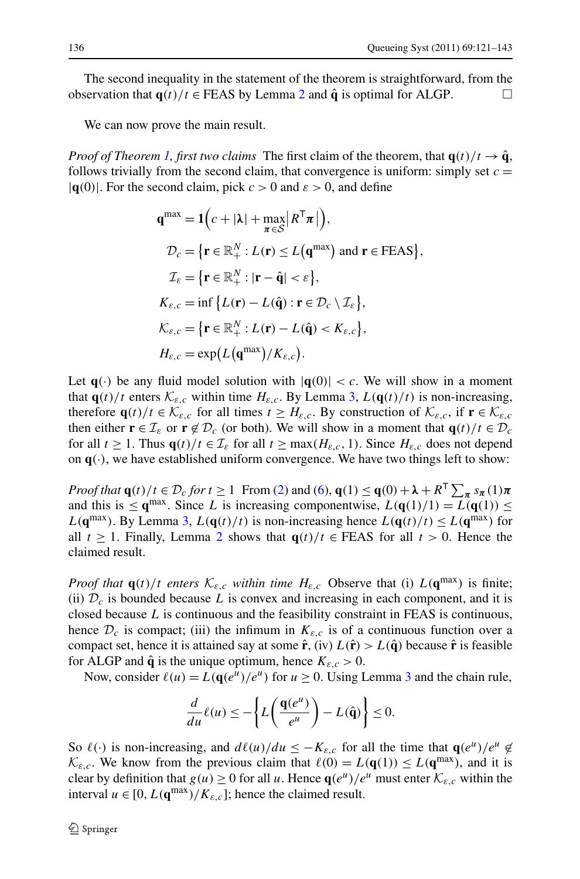The second inequality in the statement of the theorem is straightforward, from the observation that  $\mathbf{q}(t)/t \in \text{FEAS}$  by Lemma [2](#page-13-2) and  $\hat{\mathbf{q}}$  is optimal for ALGP.  $\Box$ 

We can now prove the main result.

*Proof of Theorem [1,](#page-7-3) first two claims* The first claim of the theorem, that  $\mathbf{q}(t)/t \to \hat{\mathbf{q}}$ , follows trivially from the second claim, that convergence is uniform: simply set  $c =$  $|{\bf q}(0)|$ . For the second claim, pick  $c > 0$  and  $\varepsilon > 0$ , and define

$$
\mathbf{q}^{\max} = \mathbf{1}\Big(c + |\lambda| + \max_{\pi \in S} \left| R^{\mathsf{T}} \pi \right| \Big),
$$
  
\n
$$
\mathcal{D}_c = \Big\{ \mathbf{r} \in \mathbb{R}_+^N : L(\mathbf{r}) \le L(\mathbf{q}^{\max}) \text{ and } \mathbf{r} \in \text{FEAS} \Big\},
$$
  
\n
$$
\mathcal{I}_\varepsilon = \Big\{ \mathbf{r} \in \mathbb{R}_+^N : |\mathbf{r} - \hat{\mathbf{q}}| < \varepsilon \Big\},
$$
  
\n
$$
K_{\varepsilon,c} = \inf \Big\{ L(\mathbf{r}) - L(\hat{\mathbf{q}}) : \mathbf{r} \in \mathcal{D}_c \setminus \mathcal{I}_\varepsilon \Big\},
$$
  
\n
$$
\mathcal{K}_{\varepsilon,c} = \Big\{ \mathbf{r} \in \mathbb{R}_+^N : L(\mathbf{r}) - L(\hat{\mathbf{q}}) < K_{\varepsilon,c} \Big\},
$$
  
\n
$$
H_{\varepsilon,c} = \exp(L(\mathbf{q}^{\max}) / K_{\varepsilon,c}).
$$

Let  $\mathbf{q}(\cdot)$  be any fluid model solution with  $|\mathbf{q}(0)| < c$ . We will show in a moment that  $\mathbf{q}(t)/t$  enters  $\mathcal{K}_{\varepsilon,c}$  within time  $H_{\varepsilon,c}$ . By Lemma [3](#page-14-0),  $L(\mathbf{q}(t)/t)$  is non-increasing, therefore  $\mathbf{q}(t)/t \in \mathcal{K}_{\varepsilon,c}$  for all times  $t \geq H_{\varepsilon,c}$ . By construction of  $\mathcal{K}_{\varepsilon,c}$ , if  $\mathbf{r} \in \mathcal{K}_{\varepsilon,c}$ then either  $\mathbf{r} \in \mathcal{I}_{\varepsilon}$  or  $\mathbf{r} \notin \mathcal{D}_{c}$  (or both). We will show in a moment that  $\mathbf{q}(t)/t \in \mathcal{D}_{c}$ for all  $t \ge 1$ . Thus  $\mathbf{q}(t)/t \in \mathcal{I}_{\varepsilon}$  for all  $t \ge \max(H_{\varepsilon,c}, 1)$ . Since  $H_{\varepsilon,c}$  does not depend on  $\mathbf{q}(\cdot)$ , we have established uniform convergence. We have two things left to show:

*Proof that*  $\mathbf{q}(t)/t \in \mathcal{D}_c$  *for*  $t \ge 1$  From [\(2](#page-4-0)) and ([6\)](#page-4-1),  $\mathbf{q}(1) \le \mathbf{q}(0) + \lambda + R^{\mathsf{T}} \sum_{\pi} s_{\pi}(1) \pi$ and this is  $\leq \mathbf{q}^{\max}$ . Since *L* is increasing componentwise,  $L(\mathbf{q}(1)/1) = L(\mathbf{q}(1)) \leq$ *L*( $\mathbf{q}^{\text{max}}$ ). By Lemma [3](#page-14-0), *L*( $\mathbf{q}(t)/t$ ) is non-increasing hence  $L(\mathbf{q}(t)/t) \le L(\mathbf{q}^{\text{max}})$  for all  $t \ge 1$ . Finally, Lemma [2](#page-13-2) shows that  $q(t)/t \in \text{FEAS}$  for all  $t > 0$ . Hence the claimed result.

*Proof that*  $\mathbf{q}(t)/t$  *enters*  $\mathcal{K}_{\varepsilon,c}$  *within time*  $H_{\varepsilon,c}$  Observe that (i)  $L(\mathbf{q}^{\max})$  is finite; (ii)  $\mathcal{D}_c$  is bounded because *L* is convex and increasing in each component, and it is closed because *L* is continuous and the feasibility constraint in FEAS is continuous, hence  $\mathcal{D}_c$  is compact; (iii) the infimum in  $K_{\varepsilon,c}$  is of a continuous function over a compact set, hence it is attained say at some  $\hat{\bf{r}}$ , (iv)  $L(\hat{\bf{r}}) > L(\hat{\bf{q}})$  because  $\hat{\bf{r}}$  is feasible for ALGP and  $\hat{\mathbf{q}}$  is the unique optimum, hence  $K_{\varepsilon,c} > 0$ .

Now, consider  $\ell(u) = L(\mathbf{q}(e^u)/e^u)$  for  $u \ge 0$ . Using Lemma [3](#page-14-0) and the chain rule,

$$
\frac{d}{du}\ell(u) \le -\left\{L\left(\frac{\mathbf{q}(e^u)}{e^u}\right) - L(\hat{\mathbf{q}})\right\} \le 0.
$$

So  $\ell(\cdot)$  is non-increasing, and  $d\ell(u)/du \leq -K_{\varepsilon,c}$  for all the time that  $\mathbf{q}(e^u)/e^u \notin$  $\mathcal{K}_{\varepsilon,c}$ . We know from the previous claim that  $\ell(0) = L(\mathbf{q}(1)) \le L(\mathbf{q}^{\max})$ , and it is clear by definition that  $g(u) \ge 0$  for all *u*. Hence  $\mathbf{q}(e^u)/e^u$  must enter  $\mathcal{K}_{\varepsilon,c}$  within the interval  $u \in [0, L(q^{\text{max}})/K_{\epsilon,c}]$ ; hence the claimed result.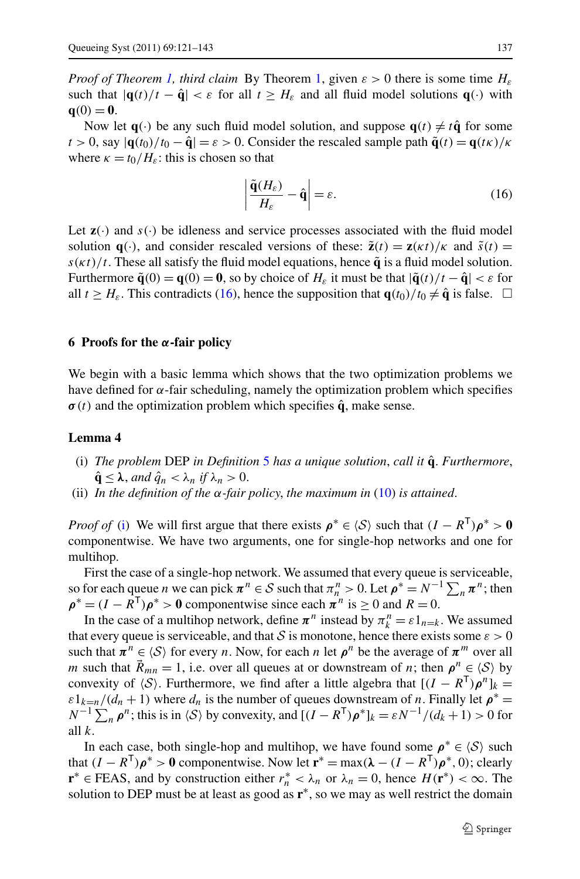*Proof of Theorem [1,](#page-7-3) third claim* By Theorem [1,](#page-7-3) given *ε >* 0 there is some time *Hε* such that  $|\mathbf{q}(t)/t - \hat{\mathbf{q}}| < \varepsilon$  for all  $t \geq H_{\varepsilon}$  and all fluid model solutions  $\mathbf{q}(\cdot)$  with  $q(0) = 0$ .

Now let  $\mathbf{q}(\cdot)$  be any such fluid model solution, and suppose  $\mathbf{q}(t) \neq t\hat{\mathbf{q}}$  for some  $t > 0$ , say  $|\mathbf{q}(t_0)/t_0 - \hat{\mathbf{q}}| = \varepsilon > 0$ . Consider the rescaled sample path  $\tilde{\mathbf{q}}(t) = \mathbf{q}(t\kappa)/\kappa$ where  $\kappa = t_0/H_\varepsilon$ : this is chosen so that

<span id="page-16-2"></span>
$$
\left| \frac{\tilde{\mathbf{q}}(H_{\varepsilon})}{H_{\varepsilon}} - \hat{\mathbf{q}} \right| = \varepsilon. \tag{16}
$$

<span id="page-16-0"></span>Let  $z(\cdot)$  and  $s(\cdot)$  be idleness and service processes associated with the fluid model solution  $\mathbf{q}(\cdot)$ , and consider rescaled versions of these:  $\tilde{\mathbf{z}}(t) = \mathbf{z}(\kappa t)/\kappa$  and  $\tilde{s}(t) =$  $s(\kappa t)/t$ . These all satisfy the fluid model equations, hence  $\tilde{\mathbf{q}}$  is a fluid model solution. Furthermore  $\tilde{\mathbf{q}}(0) = \mathbf{q}(0) = \mathbf{0}$ , so by choice of  $H_{\varepsilon}$  it must be that  $|\tilde{\mathbf{q}}(t)/t - \hat{\mathbf{q}}| < \varepsilon$  for all  $t \geq H_{\varepsilon}$ . This contradicts [\(16](#page-16-2)), hence the supposition that  $\mathbf{q}(t_0)/t_0 \neq \hat{\mathbf{q}}$  is false.  $\Box$ 

#### <span id="page-16-3"></span><span id="page-16-1"></span>**6 Proofs for the** *α***-fair policy**

<span id="page-16-4"></span>We begin with a basic lemma which shows that the two optimization problems we have defined for  $\alpha$ -fair scheduling, namely the optimization problem which specifies  $\sigma(t)$  and the optimization problem which specifies  $\hat{\mathbf{q}}$ , make sense.

# **Lemma 4**

- (i) *The problem* DEP *in Definition* [5](#page-6-2) *has a unique solution*, *call it* **q**ˆ. *Furthermore*,  $\hat{\mathbf{q}} \leq \lambda$ , and  $\hat{q}_n < \lambda_n$  if  $\lambda_n > 0$ .
- (ii) *In the definition of the α-fair policy*, *the maximum in* ([10\)](#page-5-2) *is attained*.

*Proof of* [\(i](#page-16-3)) We will first argue that there exists  $\rho^* \in \langle S \rangle$  such that  $(I - R^T)\rho^* > 0$ componentwise. We have two arguments, one for single-hop networks and one for multihop.

First the case of a single-hop network. We assumed that every queue is serviceable, so for each queue *n* we can pick  $\pi^n \in S$  such that  $\pi^n = 0$ . Let  $\rho^* = N^{-1} \sum_n \pi^n$ ; then  $\rho^* = (I - \overline{R}^T)\rho^* > 0$  componentwise since each  $\pi^n$  is  $\geq 0$  and  $R = 0$ .

In the case of a multihop network, define  $\pi^n$  instead by  $\pi_k^n = \varepsilon 1_{n=k}$ . We assumed that every queue is serviceable, and that S is monotone, hence there exists some  $\varepsilon > 0$ such that  $\pi^n \in \langle S \rangle$  for every *n*. Now, for each *n* let  $\rho^n$  be the average of  $\pi^m$  over all *m* such that  $\vec{R}_{mn} = 1$ , i.e. over all queues at or downstream of *n*; then  $\rho^n \in \langle S \rangle$  by convexity of  $\langle S \rangle$ . Furthermore, we find after a little algebra that  $[(I - R^{T})\rho^{n}]_{k} =$  $\varepsilon$ 1<sub>*k*=*n*</sub>/(*d<sub>n</sub>* + 1) where *d<sub>n</sub>* is the number of queues downstream of *n*. Finally let  $\rho$ <sup>\*</sup> =  $N^{-1} \sum_{n} \rho^{n}$ ; this is in  $\langle S \rangle$  by convexity, and  $[(I - R^{T})\rho^{*}]_{k} = \varepsilon N^{-1}/(d_{k} + 1) > 0$  for all *k*.

In each case, both single-hop and multihop, we have found some  $\rho^* \in \langle S \rangle$  such that  $(I - R^T)\rho^* > 0$  componentwise. Now let  $\mathbf{r}^* = \max(\lambda - (I - R^T)\rho^*, 0)$ ; clearly **r**<sup>∗</sup> ∈ FEAS, and by construction either  $r_n^* < \lambda_n$  or  $\lambda_n = 0$ , hence  $H(\mathbf{r}^*) < \infty$ . The solution to DEP must be at least as good as **r**∗, so we may as well restrict the domain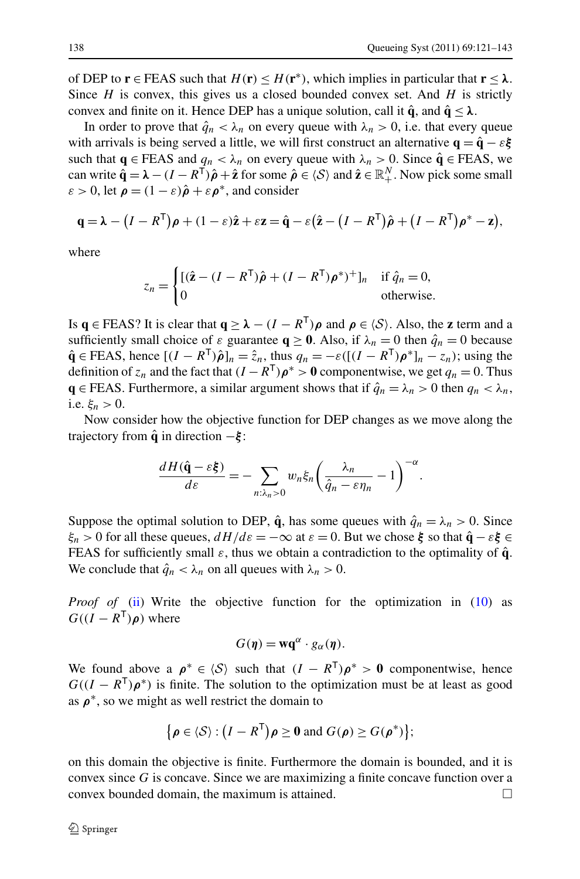of DEP to  $\mathbf{r} \in \text{FEAS}$  such that  $H(\mathbf{r}) \leq H(\mathbf{r}^*)$ , which implies in particular that  $\mathbf{r} \leq \lambda$ . Since *H* is convex, this gives us a closed bounded convex set. And *H* is strictly convex and finite on it. Hence DEP has a unique solution, call it  $\hat{\mathbf{q}}$ , and  $\hat{\mathbf{q}} \leq \lambda$ .

In order to prove that  $\hat{q}_n < \lambda_n$  on every queue with  $\lambda_n > 0$ , i.e. that every queue with arrivals is being served a little, we will first construct an alternative  $\mathbf{q} = \hat{\mathbf{q}} - \varepsilon \boldsymbol{\xi}$ such that **q** ∈ FEAS and  $q_n < \lambda_n$  on every queue with  $\lambda_n > 0$ . Since  $\hat{\mathbf{q}} \in$  FEAS, we can write  $\hat{\mathbf{q}} = \lambda - (I - R^{\mathsf{T}})\hat{\boldsymbol{\rho}} + \hat{\mathbf{z}}$  for some  $\hat{\boldsymbol{\rho}} \in \langle S \rangle$  and  $\hat{\mathbf{z}} \in \mathbb{R}_+^N$ . Now pick some small  $\varepsilon > 0$ , let  $\rho = (1 - \varepsilon)\hat{\rho} + \varepsilon \rho^*$ , and consider

$$
\mathbf{q} = \boldsymbol{\lambda} - (I - R^{\mathsf{T}})\boldsymbol{\rho} + (1 - \varepsilon)\hat{\mathbf{z}} + \varepsilon \mathbf{z} = \hat{\mathbf{q}} - \varepsilon(\hat{\mathbf{z}} - (I - R^{\mathsf{T}})\hat{\boldsymbol{\rho}} + (I - R^{\mathsf{T}})\boldsymbol{\rho}^* - \mathbf{z}),
$$

where

$$
z_n = \begin{cases} [(\hat{\mathbf{z}} - (I - R^{\mathsf{T}})\hat{\boldsymbol{\rho}} + (I - R^{\mathsf{T}})\boldsymbol{\rho}^*)^+]_n & \text{if } \hat{q}_n = 0, \\ 0 & \text{otherwise.} \end{cases}
$$

Is **q** ∈ FEAS? It is clear that **q**  $\geq \lambda - (I - R^{T})\rho$  and  $\rho \in \langle \mathcal{S} \rangle$ . Also, the **z** term and a sufficiently small choice of  $\varepsilon$  guarantee  $q \ge 0$ . Also, if  $\lambda_n = 0$  then  $\hat{q}_n = 0$  because  $\hat{\mathbf{q}} \in$  FEAS, hence  $[(I - R^{\mathsf{T}})\hat{\boldsymbol{\rho}}]_n = \hat{z}_n$ , thus  $q_n = -\varepsilon([I - R^{\mathsf{T}})\boldsymbol{\rho}^*]_n - z_n$ ); using the definition of  $z_n$  and the fact that  $(I - R^T)\rho^* > 0$  componentwise, we get  $q_n = 0$ . Thus **q** ∈ FEAS. Furthermore, a similar argument shows that if  $\hat{q}_n = \lambda_n > 0$  then  $q_n < \lambda_n$ , i.e.  $\xi_n > 0$ .

Now consider how the objective function for DEP changes as we move along the trajectory from  $\hat{\mathbf{q}}$  in direction −*ξ*:

$$
\frac{dH(\hat{\mathbf{q}}-\varepsilon\mathbf{\xi})}{d\varepsilon}=-\sum_{n:\lambda_n>0}w_n\xi_n\bigg(\frac{\lambda_n}{\hat{q}_n-\varepsilon\eta_n}-1\bigg)^{-\alpha}.
$$

Suppose the optimal solution to DEP,  $\hat{\mathbf{q}}$ , has some queues with  $\hat{q}_n = \lambda_n > 0$ . Since *ξn* > 0 for all these queues,  $dH/dε = -∞$  at  $ε = 0$ . But we chose  $ξ$  so that  $\hat{q} − εξ ∈$ FEAS for sufficiently small  $\varepsilon$ , thus we obtain a contradiction to the optimality of  $\hat{q}$ . We conclude that  $\hat{q}_n < \lambda_n$  on all queues with  $\lambda_n > 0$ .

*Proof of* ([ii](#page-16-4)) Write the objective function for the optimization in ([10\)](#page-5-2) as  $G((I - R^{\mathsf{T}})\rho)$  where

$$
G(\eta) = \mathbf{w}\mathbf{q}^{\alpha} \cdot g_{\alpha}(\eta).
$$

We found above a  $\rho^* \in \langle S \rangle$  such that  $(I - R^T)\rho^* > 0$  componentwise, hence  $G((I - R^{T})\rho^*)$  is finite. The solution to the optimization must be at least as good as  $\rho^*$ , so we might as well restrict the domain to

$$
\left\{\boldsymbol{\rho}\in\langle\mathcal{S}\rangle:\left(I-R^{T}\right)\boldsymbol{\rho}\geq\mathbf{0}\text{ and }G(\boldsymbol{\rho})\geq G(\boldsymbol{\rho}^{*})\right\};
$$

on this domain the objective is finite. Furthermore the domain is bounded, and it is convex since *G* is concave. Since we are maximizing a finite concave function over a convex bounded domain, the maximum is attained.  $\Box$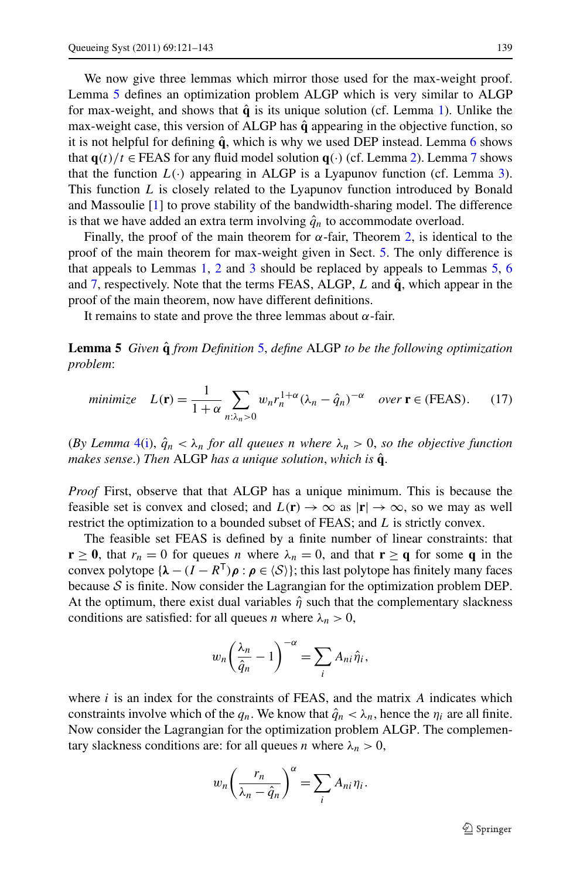We now give three lemmas which mirror those used for the max-weight proof. Lemma [5](#page-18-0) defines an optimization problem ALGP which is very similar to ALGP for max-weight, and shows that  $\hat{\mathbf{q}}$  is its unique solution (cf. Lemma [1\)](#page-13-1). Unlike the max-weight case, this version of ALGP has  $\hat{\mathbf{q}}$  appearing in the objective function, so it is not helpful for defining **q**ˆ, which is why we used DEP instead. Lemma [6](#page-19-0) shows that **q***(t)/t* ∈ FEAS for any fluid model solution **q***(*·*)* (cf. Lemma [2\)](#page-13-2). Lemma [7](#page-19-1) shows that the function  $L(\cdot)$  appearing in ALGP is a Lyapunov function (cf. Lemma [3\)](#page-14-0). This function *L* is closely related to the Lyapunov function introduced by Bonald and Massoulie [[1\]](#page-22-2) to prove stability of the bandwidth-sharing model. The difference is that we have added an extra term involving  $\hat{q}_n$  to accommodate overload.

<span id="page-18-0"></span>Finally, the proof of the main theorem for  $\alpha$ -fair, Theorem [2,](#page-7-4) is identical to the proof of the main theorem for max-weight given in Sect. [5.](#page-13-0) The only difference is that appeals to Lemmas [1](#page-13-1), [2](#page-13-2) and [3](#page-14-0) should be replaced by appeals to Lemmas [5,](#page-18-0) [6](#page-19-0) and [7,](#page-19-1) respectively. Note that the terms FEAS, ALGP,  $L$  and  $\hat{q}$ , which appear in the proof of the main theorem, now have different definitions.

It remains to state and prove the three lemmas about *α*-fair.

**Lemma 5** *Given* **q**ˆ *from Definition* [5](#page-6-2), *define* ALGP *to be the following optimization problem*:

$$
minimize \quad L(\mathbf{r}) = \frac{1}{1+\alpha} \sum_{n:\lambda_n>0} w_n r_n^{1+\alpha} (\lambda_n - \hat{q}_n)^{-\alpha} \quad over \; \mathbf{r} \in (\text{FEAS}). \tag{17}
$$

(*By Lemma* [4\(](#page-16-1)[i\)](#page-16-3),  $\hat{q}_n < \lambda_n$  *for all queues n where*  $\lambda_n > 0$ , *so the objective function makes sense*.) *Then* ALGP *has a unique solution*, *which is* **q**ˆ.

*Proof* First, observe that that ALGP has a unique minimum. This is because the feasible set is convex and closed; and  $L(\mathbf{r}) \to \infty$  as  $|\mathbf{r}| \to \infty$ , so we may as well restrict the optimization to a bounded subset of FEAS; and *L* is strictly convex.

The feasible set FEAS is defined by a finite number of linear constraints: that **r**  $\geq$  **0**, that  $r_n = 0$  for queues *n* where  $\lambda_n = 0$ , and that **r**  $\geq$  **q** for some **q** in the convex polytope  $\{\lambda - (I - R^T)\rho : \rho \in \langle S \rangle\}$ ; this last polytope has finitely many faces because  $S$  is finite. Now consider the Lagrangian for the optimization problem DEP. At the optimum, there exist dual variables  $\hat{\eta}$  such that the complementary slackness conditions are satisfied: for all queues *n* where  $\lambda_n > 0$ ,

$$
w_n\bigg(\frac{\lambda_n}{\hat{q}_n}-1\bigg)^{-\alpha}=\sum_i A_{ni}\hat{\eta}_i,
$$

where *i* is an index for the constraints of FEAS, and the matrix *A* indicates which constraints involve which of the  $q_n$ . We know that  $\hat{q}_n < \lambda_n$ , hence the  $\eta_i$  are all finite. Now consider the Lagrangian for the optimization problem ALGP. The complementary slackness conditions are: for all queues *n* where  $\lambda_n > 0$ ,

$$
w_n\bigg(\frac{r_n}{\lambda_n-\hat{q}_n}\bigg)^{\alpha}=\sum_i A_{ni}\eta_i.
$$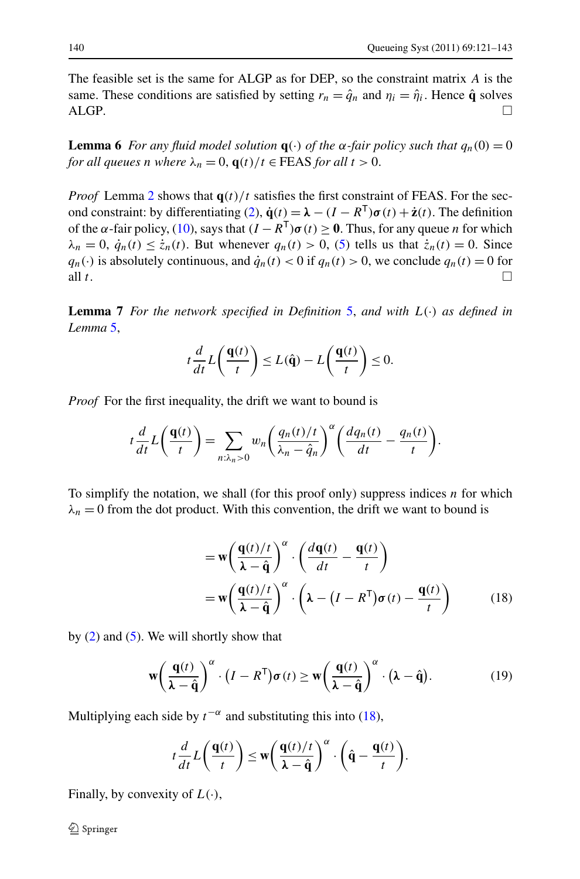<span id="page-19-0"></span>The feasible set is the same for ALGP as for DEP, so the constraint matrix *A* is the same. These conditions are satisfied by setting  $r_n = \hat{q}_n$  and  $\eta_i = \hat{\eta}_i$ . Hence  $\hat{\mathbf{q}}$  solves  $\Box$ ALGP.

**Lemma 6** *For any fluid model solution*  $\mathbf{q}(\cdot)$  *of the α-fair policy such that*  $q_n(0) = 0$ *for all queues n where*  $\lambda_n = 0$ ,  $\mathbf{q}(t)/t \in \text{FEAS}$  *for all*  $t > 0$ .

<span id="page-19-1"></span>*Proof* Lemma [2](#page-13-2) shows that  $q(t)/t$  satisfies the first constraint of FEAS. For the sec-ond constraint: by differentiating [\(2](#page-4-0)),  $\dot{\mathbf{q}}(t) = \lambda - (I - R^T)\boldsymbol{\sigma}(t) + \dot{\mathbf{z}}(t)$ . The definition of the *α*-fair policy, ([10\)](#page-5-2), says that  $(I - R^T)\sigma(t) \ge 0$ . Thus, for any queue *n* for which  $\lambda_n = 0$ ,  $\dot{q}_n(t) \leq \dot{z}_n(t)$ . But whenever  $q_n(t) > 0$ , ([5\)](#page-4-4) tells us that  $\dot{z}_n(t) = 0$ . Since  $q_n(\cdot)$  is absolutely continuous, and  $\dot{q}_n(t) < 0$  if  $q_n(t) > 0$ , we conclude  $q_n(t) = 0$  for all  $t$ . all  $t$ .

**Lemma 7** *For the network specified in Definition* [5,](#page-6-2) *and with L(*·*) as defined in Lemma* [5,](#page-18-0)

$$
t\frac{d}{dt}L\left(\frac{\mathbf{q}(t)}{t}\right)\leq L(\hat{\mathbf{q}})-L\left(\frac{\mathbf{q}(t)}{t}\right)\leq 0.
$$

*Proof* For the first inequality, the drift we want to bound is

$$
t\frac{d}{dt}L\left(\frac{\mathbf{q}(t)}{t}\right)=\sum_{n:\lambda_n>0}w_n\left(\frac{q_n(t)/t}{\lambda_n-\hat{q}_n}\right)^{\alpha}\left(\frac{dq_n(t)}{dt}-\frac{q_n(t)}{t}\right).
$$

To simplify the notation, we shall (for this proof only) suppress indices *n* for which  $\lambda_n = 0$  from the dot product. With this convention, the drift we want to bound is

<span id="page-19-3"></span><span id="page-19-2"></span>
$$
= \mathbf{w} \left(\frac{\mathbf{q}(t)/t}{\lambda - \hat{\mathbf{q}}}\right)^{\alpha} \cdot \left(\frac{d\mathbf{q}(t)}{dt} - \frac{\mathbf{q}(t)}{t}\right)
$$

$$
= \mathbf{w} \left(\frac{\mathbf{q}(t)/t}{\lambda - \hat{\mathbf{q}}}\right)^{\alpha} \cdot \left(\lambda - \left(I - R^{\mathsf{T}}\right)\sigma(t) - \frac{\mathbf{q}(t)}{t}\right) \tag{18}
$$

by  $(2)$  $(2)$  and  $(5)$  $(5)$ . We will shortly show that

$$
\mathbf{w}\left(\frac{\mathbf{q}(t)}{\lambda-\hat{\mathbf{q}}}\right)^{\alpha}\cdot\left(I-R^{\mathsf{T}}\right)\boldsymbol{\sigma}(t)\geq\mathbf{w}\left(\frac{\mathbf{q}(t)}{\lambda-\hat{\mathbf{q}}}\right)^{\alpha}\cdot\left(\lambda-\hat{\mathbf{q}}\right).
$$
 (19)

Multiplying each side by  $t^{-\alpha}$  and substituting this into [\(18](#page-19-2)),

$$
t\frac{d}{dt}L\left(\frac{\mathbf{q}(t)}{t}\right) \leq \mathbf{w}\left(\frac{\mathbf{q}(t)/t}{\lambda-\hat{\mathbf{q}}}\right)^{\alpha}\cdot\left(\hat{\mathbf{q}}-\frac{\mathbf{q}(t)}{t}\right).
$$

Finally, by convexity of  $L(\cdot)$ ,

 $\textcircled{2}$  Springer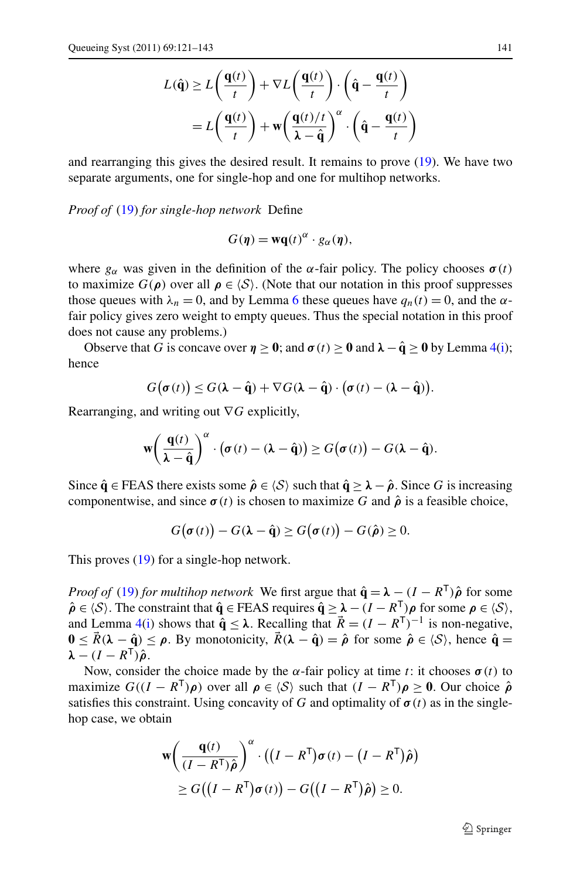$$
L(\hat{\mathbf{q}}) \ge L\left(\frac{\mathbf{q}(t)}{t}\right) + \nabla L\left(\frac{\mathbf{q}(t)}{t}\right) \cdot \left(\hat{\mathbf{q}} - \frac{\mathbf{q}(t)}{t}\right)
$$

$$
= L\left(\frac{\mathbf{q}(t)}{t}\right) + \mathbf{w}\left(\frac{\mathbf{q}(t)/t}{\lambda - \hat{\mathbf{q}}}\right)^{\alpha} \cdot \left(\hat{\mathbf{q}} - \frac{\mathbf{q}(t)}{t}\right)
$$

and rearranging this gives the desired result. It remains to prove [\(19](#page-19-3)). We have two separate arguments, one for single-hop and one for multihop networks.

*Proof of* ([19\)](#page-19-3) *for single-hop network* Define

$$
G(\eta) = \mathbf{w}\mathbf{q}(t)^{\alpha} \cdot g_{\alpha}(\eta),
$$

where  $g_\alpha$  was given in the definition of the  $\alpha$ -fair policy. The policy chooses  $\sigma(t)$ to maximize  $G(\rho)$  over all  $\rho \in \langle S \rangle$ . (Note that our notation in this proof suppresses those queues with  $\lambda_n = 0$ , and by Lemma [6](#page-19-0) these queues have  $q_n(t) = 0$ , and the  $\alpha$ fair policy gives zero weight to empty queues. Thus the special notation in this proof does not cause any problems.)

Observe that *G* [i](#page-16-3)s concave over  $η$  > 0; and  $σ(t)$  > 0 and  $λ$  –  $\hat{q}$  > 0 by Lemma [4](#page-16-1)(i); hence

$$
G(\boldsymbol{\sigma}(t)) \leq G(\boldsymbol{\lambda} - \hat{\mathbf{q}}) + \nabla G(\boldsymbol{\lambda} - \hat{\mathbf{q}}) \cdot (\boldsymbol{\sigma}(t) - (\boldsymbol{\lambda} - \hat{\mathbf{q}})).
$$

Rearranging, and writing out ∇*G* explicitly,

$$
\mathbf{w}\left(\frac{\mathbf{q}(t)}{\lambda-\hat{\mathbf{q}}}\right)^{\alpha}\cdot(\boldsymbol{\sigma}(t)-(\lambda-\hat{\mathbf{q}}))\geq G(\boldsymbol{\sigma}(t))-G(\lambda-\hat{\mathbf{q}}).
$$

Since  $\hat{\mathbf{q}}$  ∈ FEAS there exists some  $\hat{\rho} \in \langle \mathcal{S} \rangle$  such that  $\hat{\mathbf{q}} \geq \lambda - \hat{\rho}$ . Since *G* is increasing componentwise, and since  $\sigma(t)$  is chosen to maximize *G* and  $\hat{\rho}$  is a feasible choice,

$$
G(\boldsymbol{\sigma}(t)) - G(\boldsymbol{\lambda} - \hat{\mathbf{q}}) \ge G(\boldsymbol{\sigma}(t)) - G(\hat{\boldsymbol{\rho}}) \ge 0.
$$

This proves [\(19](#page-19-3)) for a single-hop network.

*Proof of* ([19\)](#page-19-3) *for multihop network* We first argue that  $\hat{\mathbf{q}} = \lambda - (I - R^T)\hat{\boldsymbol{\rho}}$  for some  $\hat{\rho} \in \langle S \rangle$ . The constraint that  $\hat{\mathbf{q}} \in \text{FEAS requires } \hat{\mathbf{q}} \geq \lambda - (I - R^T) \rho$  for some  $\rho \in \langle S \rangle$ , and Lemma [4\(](#page-16-1)[i\)](#page-16-3) shows that  $\hat{\mathbf{q}} \leq \lambda$ . Recalling that  $\vec{R} = (I - R^{T})^{-1}$  is non-negative, **0** ≤  $\vec{R}(\lambda - \hat{\mathbf{q}})$  ≤  $\rho$ . By monotonicity,  $\vec{R}(\lambda - \hat{\mathbf{q}}) = \hat{\rho}$  for some  $\hat{\rho} \in \langle S \rangle$ , hence  $\hat{\mathbf{q}} =$ *λ* −  $(I - R^{\mathsf{T}})\hat{\boldsymbol{\rho}}$ .

Now, consider the choice made by the *α*-fair policy at time *t*: it chooses  $σ(t)$  to maximize  $G((I - R^{T})\rho)$  over all  $\rho \in \langle S \rangle$  such that  $(I - R^{T})\rho > 0$ . Our choice  $\hat{\rho}$ satisfies this constraint. Using concavity of *G* and optimality of  $\sigma(t)$  as in the singlehop case, we obtain

$$
\mathbf{w}\left(\frac{\mathbf{q}(t)}{(I-R^{\mathsf{T}})\hat{\rho}}\right)^{\alpha}\cdot\left((I-R^{\mathsf{T}})\boldsymbol{\sigma}(t)-(I-R^{\mathsf{T}})\hat{\rho}\right) \geq G\left((I-R^{\mathsf{T}})\boldsymbol{\sigma}(t)\right)-G\left((I-R^{\mathsf{T}})\hat{\rho}\right)\geq 0.
$$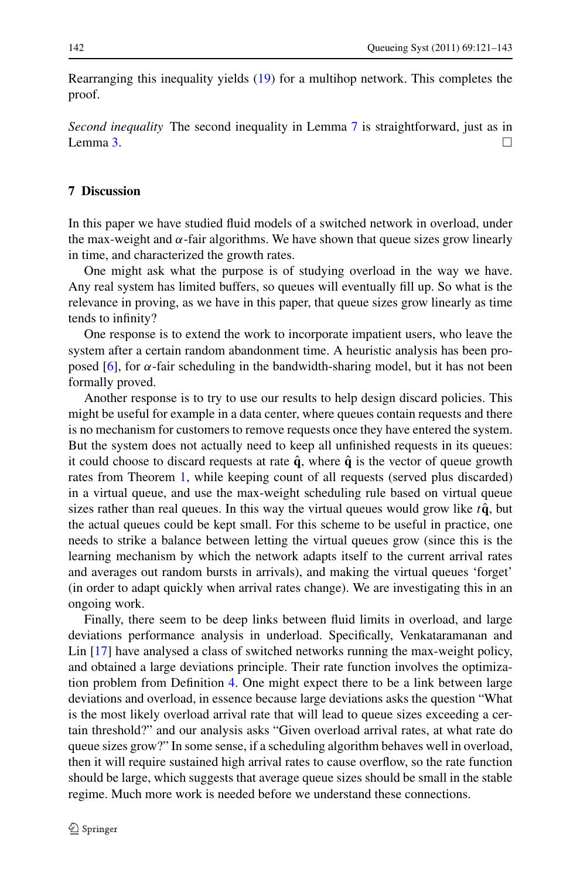Rearranging this inequality yields [\(19](#page-19-3)) for a multihop network. This completes the proof.

*Second inequality* The second inequality in Lemma [7](#page-19-1) is straightforward, just as in Lemma [3.](#page-14-0)  $\Box$ 

# **7 Discussion**

In this paper we have studied fluid models of a switched network in overload, under the max-weight and  $\alpha$ -fair algorithms. We have shown that queue sizes grow linearly in time, and characterized the growth rates.

One might ask what the purpose is of studying overload in the way we have. Any real system has limited buffers, so queues will eventually fill up. So what is the relevance in proving, as we have in this paper, that queue sizes grow linearly as time tends to infinity?

One response is to extend the work to incorporate impatient users, who leave the system after a certain random abandonment time. A heuristic analysis has been pro-posed [\[6](#page-22-13)], for  $\alpha$ -fair scheduling in the bandwidth-sharing model, but it has not been formally proved.

Another response is to try to use our results to help design discard policies. This might be useful for example in a data center, where queues contain requests and there is no mechanism for customers to remove requests once they have entered the system. But the system does not actually need to keep all unfinished requests in its queues: it could choose to discard requests at rate  $\hat{\mathbf{q}}$ , where  $\hat{\mathbf{q}}$  is the vector of queue growth rates from Theorem [1](#page-7-3), while keeping count of all requests (served plus discarded) in a virtual queue, and use the max-weight scheduling rule based on virtual queue sizes rather than real queues. In this way the virtual queues would grow like  $t\hat{q}$ , but the actual queues could be kept small. For this scheme to be useful in practice, one needs to strike a balance between letting the virtual queues grow (since this is the learning mechanism by which the network adapts itself to the current arrival rates and averages out random bursts in arrivals), and making the virtual queues 'forget' (in order to adapt quickly when arrival rates change). We are investigating this in an ongoing work.

Finally, there seem to be deep links between fluid limits in overload, and large deviations performance analysis in underload. Specifically, Venkataramanan and Lin [[17\]](#page-22-16) have analysed a class of switched networks running the max-weight policy, and obtained a large deviations principle. Their rate function involves the optimization problem from Definition [4](#page-6-1). One might expect there to be a link between large deviations and overload, in essence because large deviations asks the question "What is the most likely overload arrival rate that will lead to queue sizes exceeding a certain threshold?" and our analysis asks "Given overload arrival rates, at what rate do queue sizes grow?" In some sense, if a scheduling algorithm behaves well in overload, then it will require sustained high arrival rates to cause overflow, so the rate function should be large, which suggests that average queue sizes should be small in the stable regime. Much more work is needed before we understand these connections.